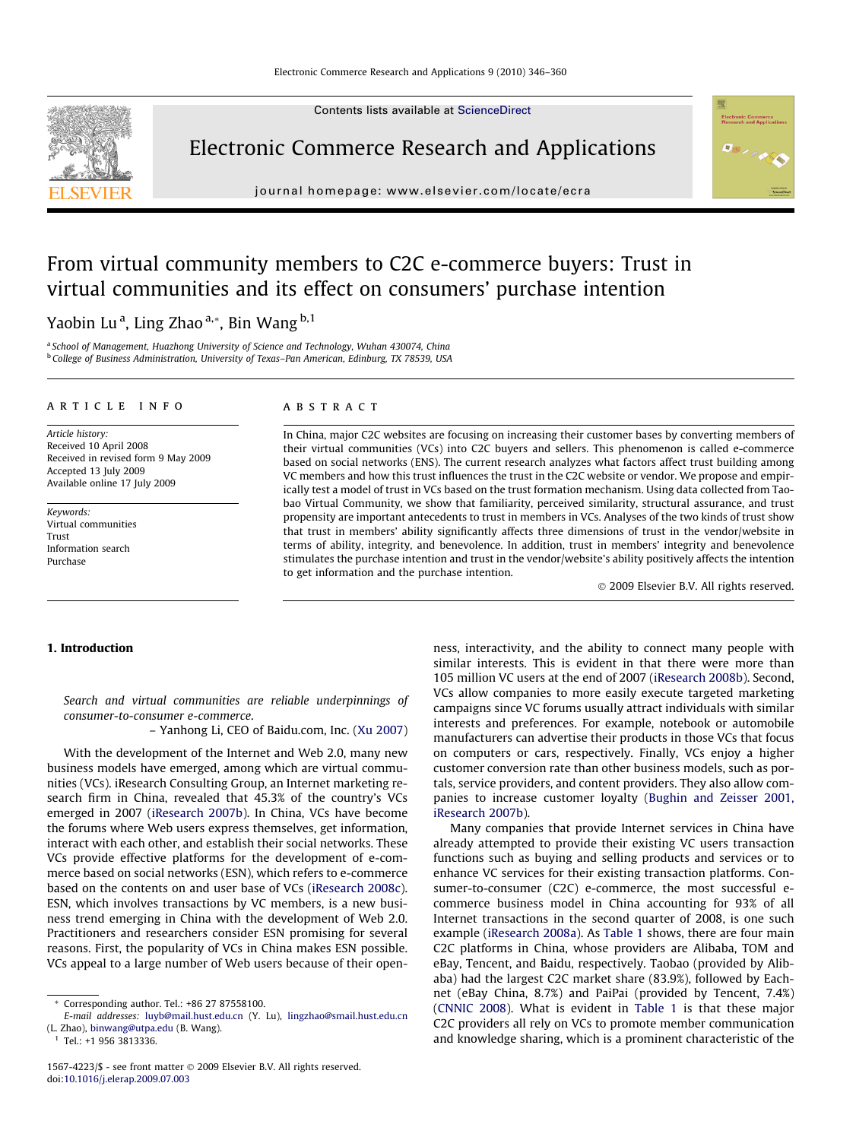Contents lists available at [ScienceDirect](http://www.sciencedirect.com/science/journal/15674223)



Electronic Commerce Research and Applications

journal homepage: [www.elsevier.com/locate/ecra](http://www.elsevier.com/locate/ecra)



# From virtual community members to C2C e-commerce buyers: Trust in virtual communities and its effect on consumers' purchase intention

Yaobin Lu<sup>a</sup>, Ling Zhao<sup>a,</sup>\*, Bin Wang <sup>b,1</sup>

<sup>a</sup> School of Management, Huazhong University of Science and Technology, Wuhan 430074, China <sup>b</sup> College of Business Administration, University of Texas–Pan American, Edinburg, TX 78539, USA

#### article info

Article history: Received 10 April 2008 Received in revised form 9 May 2009 Accepted 13 July 2009 Available online 17 July 2009

Keywords: Virtual communities Trust Information search Purchase

# ABSTRACT

In China, major C2C websites are focusing on increasing their customer bases by converting members of their virtual communities (VCs) into C2C buyers and sellers. This phenomenon is called e-commerce based on social networks (ENS). The current research analyzes what factors affect trust building among VC members and how this trust influences the trust in the C2C website or vendor. We propose and empirically test a model of trust in VCs based on the trust formation mechanism. Using data collected from Taobao Virtual Community, we show that familiarity, perceived similarity, structural assurance, and trust propensity are important antecedents to trust in members in VCs. Analyses of the two kinds of trust show that trust in members' ability significantly affects three dimensions of trust in the vendor/website in terms of ability, integrity, and benevolence. In addition, trust in members' integrity and benevolence stimulates the purchase intention and trust in the vendor/website's ability positively affects the intention to get information and the purchase intention.

- 2009 Elsevier B.V. All rights reserved.

# 1. Introduction

Search and virtual communities are reliable underpinnings of consumer-to-consumer e-commerce.

– Yanhong Li, CEO of Baidu.com, Inc. ([Xu 2007\)](#page-14-0)

With the development of the Internet and Web 2.0, many new business models have emerged, among which are virtual communities (VCs). iResearch Consulting Group, an Internet marketing research firm in China, revealed that 45.3% of the country's VCs emerged in 2007 ([iResearch 2007b\)](#page-14-0). In China, VCs have become the forums where Web users express themselves, get information, interact with each other, and establish their social networks. These VCs provide effective platforms for the development of e-commerce based on social networks (ESN), which refers to e-commerce based on the contents on and user base of VCs [\(iResearch 2008c\)](#page-14-0). ESN, which involves transactions by VC members, is a new business trend emerging in China with the development of Web 2.0. Practitioners and researchers consider ESN promising for several reasons. First, the popularity of VCs in China makes ESN possible. VCs appeal to a large number of Web users because of their openness, interactivity, and the ability to connect many people with similar interests. This is evident in that there were more than 105 million VC users at the end of 2007 [\(iResearch 2008b](#page-14-0)). Second, VCs allow companies to more easily execute targeted marketing campaigns since VC forums usually attract individuals with similar interests and preferences. For example, notebook or automobile manufacturers can advertise their products in those VCs that focus on computers or cars, respectively. Finally, VCs enjoy a higher customer conversion rate than other business models, such as portals, service providers, and content providers. They also allow companies to increase customer loyalty ([Bughin and Zeisser 2001,](#page-13-0) [iResearch 2007b](#page-13-0)).

Many companies that provide Internet services in China have already attempted to provide their existing VC users transaction functions such as buying and selling products and services or to enhance VC services for their existing transaction platforms. Consumer-to-consumer (C2C) e-commerce, the most successful ecommerce business model in China accounting for 93% of all Internet transactions in the second quarter of 2008, is one such example [\(iResearch 2008a](#page-14-0)). As [Table 1](#page-1-0) shows, there are four main C2C platforms in China, whose providers are Alibaba, TOM and eBay, Tencent, and Baidu, respectively. Taobao (provided by Alibaba) had the largest C2C market share (83.9%), followed by Eachnet (eBay China, 8.7%) and PaiPai (provided by Tencent, 7.4%) ([CNNIC 2008\)](#page-13-0). What is evident in [Table 1](#page-1-0) is that these major C2C providers all rely on VCs to promote member communication and knowledge sharing, which is a prominent characteristic of the

Corresponding author. Tel.: +86 27 87558100.

E-mail addresses: [luyb@mail.hust.edu.cn](mailto:luyb@mail.hust.edu.cn) (Y. Lu), [lingzhao@smail.hust.edu.cn](mailto:lingzhao@smail.hust.edu.cn   ) (L. Zhao), [binwang@utpa.edu](mailto:binwang@utpa.edu) (B. Wang).

 $1$  Tel.: +1 956 3813336.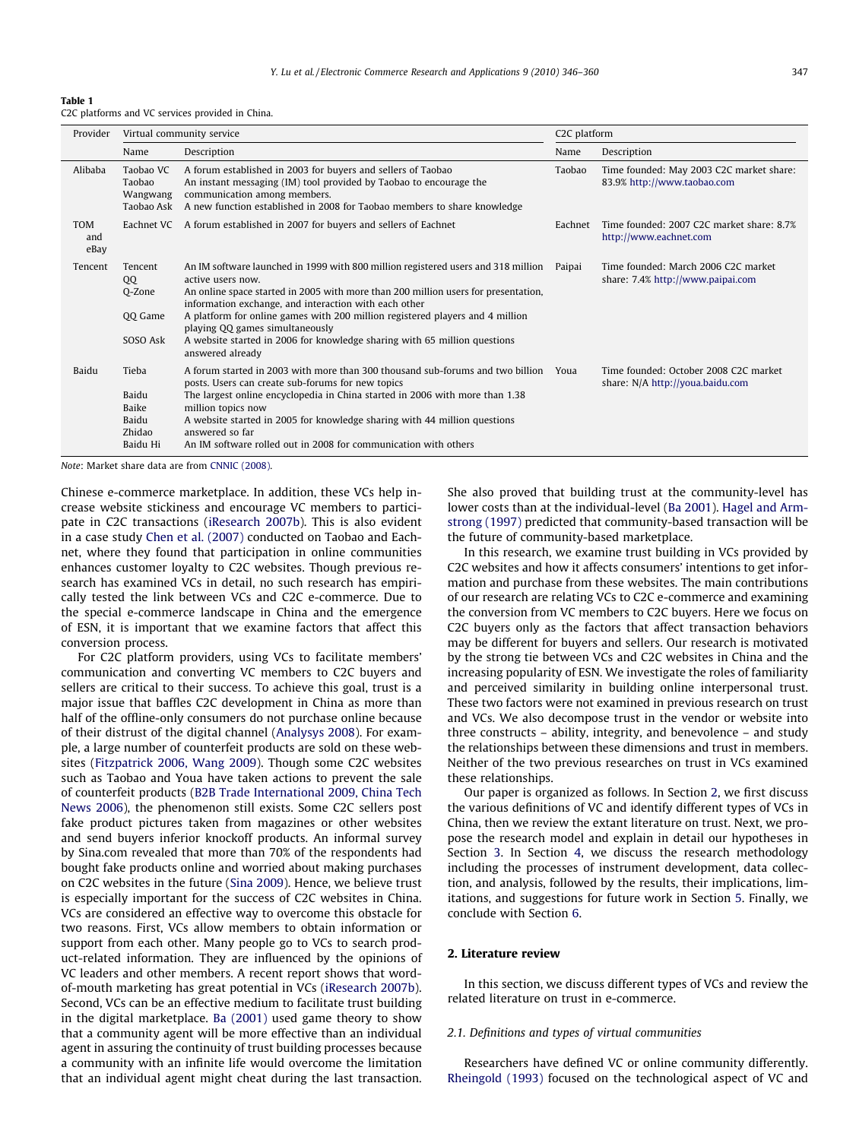<span id="page-1-0"></span>

| Table 1 |                                                  |  |  |  |
|---------|--------------------------------------------------|--|--|--|
|         | C2C platforms and VC services provided in China. |  |  |  |

| Provider                  |                                                        | Virtual community service                                                                                                                                                                                                                                                                                                                                                                                                                                                  |         | C <sub>2</sub> C platform                                                 |
|---------------------------|--------------------------------------------------------|----------------------------------------------------------------------------------------------------------------------------------------------------------------------------------------------------------------------------------------------------------------------------------------------------------------------------------------------------------------------------------------------------------------------------------------------------------------------------|---------|---------------------------------------------------------------------------|
|                           | Name                                                   | Description                                                                                                                                                                                                                                                                                                                                                                                                                                                                | Name    | Description                                                               |
| Alibaba                   | Taobao VC<br>Taobao<br>Wangwang<br>Taobao Ask          | A forum established in 2003 for buyers and sellers of Taobao<br>An instant messaging (IM) tool provided by Taobao to encourage the<br>communication among members.<br>A new function established in 2008 for Taobao members to share knowledge                                                                                                                                                                                                                             | Taobao  | Time founded: May 2003 C2C market share:<br>83.9% http://www.taobao.com   |
| <b>TOM</b><br>and<br>eBay | Eachnet VC                                             | A forum established in 2007 for buyers and sellers of Eachnet                                                                                                                                                                                                                                                                                                                                                                                                              | Eachnet | Time founded: 2007 C2C market share: 8.7%<br>http://www.eachnet.com       |
| Tencent                   | Tencent<br>QQ<br>O-Zone<br>QQ Game<br>SOSO Ask         | An IM software launched in 1999 with 800 million registered users and 318 million<br>active users now.<br>An online space started in 2005 with more than 200 million users for presentation,<br>information exchange, and interaction with each other<br>A platform for online games with 200 million registered players and 4 million<br>playing QQ games simultaneously<br>A website started in 2006 for knowledge sharing with 65 million questions<br>answered already | Paipai  | Time founded: March 2006 C2C market<br>share: 7.4% http://www.paipai.com  |
| Baidu                     | Tieba<br>Baidu<br>Baike<br>Baidu<br>Zhidao<br>Baidu Hi | A forum started in 2003 with more than 300 thousand sub-forums and two billion<br>posts. Users can create sub-forums for new topics<br>The largest online encyclopedia in China started in 2006 with more than 1.38<br>million topics now<br>A website started in 2005 for knowledge sharing with 44 million questions<br>answered so far<br>An IM software rolled out in 2008 for communication with others                                                               | Youa    | Time founded: October 2008 C2C market<br>share: N/A http://youa.baidu.com |

Note: Market share data are from [CNNIC \(2008\)](#page-13-0).

Chinese e-commerce marketplace. In addition, these VCs help increase website stickiness and encourage VC members to participate in C2C transactions [\(iResearch 2007b\)](#page-14-0). This is also evident in a case study [Chen et al. \(2007\)](#page-13-0) conducted on Taobao and Eachnet, where they found that participation in online communities enhances customer loyalty to C2C websites. Though previous research has examined VCs in detail, no such research has empirically tested the link between VCs and C2C e-commerce. Due to the special e-commerce landscape in China and the emergence of ESN, it is important that we examine factors that affect this conversion process.

For C2C platform providers, using VCs to facilitate members' communication and converting VC members to C2C buyers and sellers are critical to their success. To achieve this goal, trust is a major issue that baffles C2C development in China as more than half of the offline-only consumers do not purchase online because of their distrust of the digital channel [\(Analysys 2008](#page-13-0)). For example, a large number of counterfeit products are sold on these websites [\(Fitzpatrick 2006, Wang 2009\)](#page-13-0). Though some C2C websites such as Taobao and Youa have taken actions to prevent the sale of counterfeit products [\(B2B Trade International 2009, China Tech](#page-13-0) [News 2006\)](#page-13-0), the phenomenon still exists. Some C2C sellers post fake product pictures taken from magazines or other websites and send buyers inferior knockoff products. An informal survey by Sina.com revealed that more than 70% of the respondents had bought fake products online and worried about making purchases on C2C websites in the future [\(Sina 2009](#page-14-0)). Hence, we believe trust is especially important for the success of C2C websites in China. VCs are considered an effective way to overcome this obstacle for two reasons. First, VCs allow members to obtain information or support from each other. Many people go to VCs to search product-related information. They are influenced by the opinions of VC leaders and other members. A recent report shows that wordof-mouth marketing has great potential in VCs [\(iResearch 2007b\)](#page-14-0). Second, VCs can be an effective medium to facilitate trust building in the digital marketplace. [Ba \(2001\)](#page-13-0) used game theory to show that a community agent will be more effective than an individual agent in assuring the continuity of trust building processes because a community with an infinite life would overcome the limitation that an individual agent might cheat during the last transaction. She also proved that building trust at the community-level has lower costs than at the individual-level [\(Ba 2001](#page-13-0)). [Hagel and Arm](#page-14-0)[strong \(1997\)](#page-14-0) predicted that community-based transaction will be the future of community-based marketplace.

In this research, we examine trust building in VCs provided by C2C websites and how it affects consumers' intentions to get information and purchase from these websites. The main contributions of our research are relating VCs to C2C e-commerce and examining the conversion from VC members to C2C buyers. Here we focus on C2C buyers only as the factors that affect transaction behaviors may be different for buyers and sellers. Our research is motivated by the strong tie between VCs and C2C websites in China and the increasing popularity of ESN. We investigate the roles of familiarity and perceived similarity in building online interpersonal trust. These two factors were not examined in previous research on trust and VCs. We also decompose trust in the vendor or website into three constructs – ability, integrity, and benevolence – and study the relationships between these dimensions and trust in members. Neither of the two previous researches on trust in VCs examined these relationships.

Our paper is organized as follows. In Section 2, we first discuss the various definitions of VC and identify different types of VCs in China, then we review the extant literature on trust. Next, we propose the research model and explain in detail our hypotheses in Section [3](#page-3-0). In Section [4,](#page-6-0) we discuss the research methodology including the processes of instrument development, data collection, and analysis, followed by the results, their implications, limitations, and suggestions for future work in Section [5](#page-8-0). Finally, we conclude with Section [6](#page-11-0).

# 2. Literature review

In this section, we discuss different types of VCs and review the related literature on trust in e-commerce.

# 2.1. Definitions and types of virtual communities

Researchers have defined VC or online community differently. [Rheingold \(1993\)](#page-14-0) focused on the technological aspect of VC and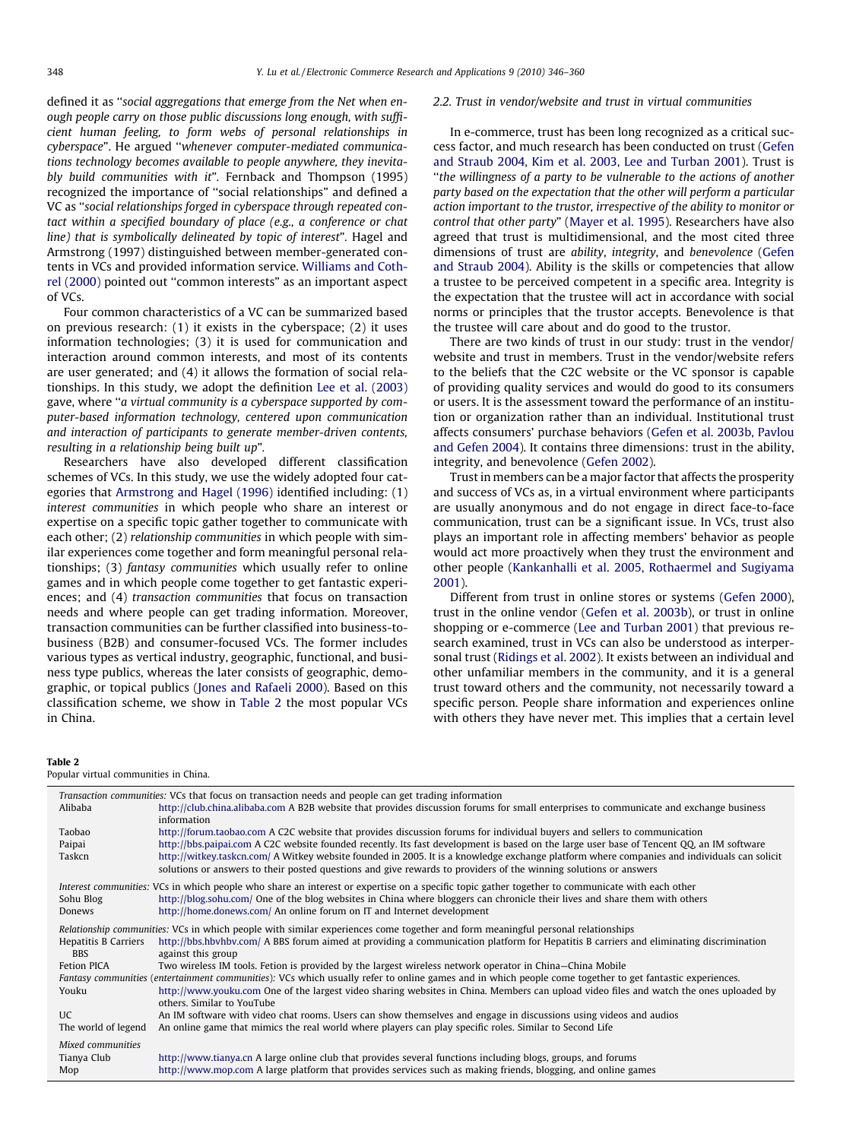defined it as ''social aggregations that emerge from the Net when enough people carry on those public discussions long enough, with sufficient human feeling, to form webs of personal relationships in cyberspace". He argued ''whenever computer-mediated communications technology becomes available to people anywhere, they inevitably build communities with it". Fernback and Thompson (1995) recognized the importance of ''social relationships" and defined a VC as ''social relationships forged in cyberspace through repeated contact within a specified boundary of place (e.g., a conference or chat line) that is symbolically delineated by topic of interest". Hagel and Armstrong (1997) distinguished between member-generated contents in VCs and provided information service. [Williams and Coth](#page-14-0)[rel \(2000\)](#page-14-0) pointed out ''common interests" as an important aspect of VCs.

Four common characteristics of a VC can be summarized based on previous research: (1) it exists in the cyberspace; (2) it uses information technologies; (3) it is used for communication and interaction around common interests, and most of its contents are user generated; and (4) it allows the formation of social relationships. In this study, we adopt the definition [Lee et al. \(2003\)](#page-14-0) gave, where ''a virtual community is a cyberspace supported by computer-based information technology, centered upon communication and interaction of participants to generate member-driven contents, resulting in a relationship being built up".

Researchers have also developed different classification schemes of VCs. In this study, we use the widely adopted four categories that [Armstrong and Hagel \(1996\)](#page-13-0) identified including: (1) interest communities in which people who share an interest or expertise on a specific topic gather together to communicate with each other; (2) relationship communities in which people with similar experiences come together and form meaningful personal relationships; (3) fantasy communities which usually refer to online games and in which people come together to get fantastic experiences; and (4) transaction communities that focus on transaction needs and where people can get trading information. Moreover, transaction communities can be further classified into business-tobusiness (B2B) and consumer-focused VCs. The former includes various types as vertical industry, geographic, functional, and business type publics, whereas the later consists of geographic, demographic, or topical publics ([Jones and Rafaeli 2000\)](#page-14-0). Based on this classification scheme, we show in Table 2 the most popular VCs in China.

#### 2.2. Trust in vendor/website and trust in virtual communities

In e-commerce, trust has been long recognized as a critical success factor, and much research has been conducted on trust ([Gefen](#page-14-0) [and Straub 2004, Kim et al. 2003, Lee and Turban 2001](#page-14-0)). Trust is ''the willingness of a party to be vulnerable to the actions of another party based on the expectation that the other will perform a particular action important to the trustor, irrespective of the ability to monitor or control that other party" [\(Mayer et al. 1995\)](#page-14-0). Researchers have also agreed that trust is multidimensional, and the most cited three dimensions of trust are ability, integrity, and benevolence ([Gefen](#page-14-0) [and Straub 2004](#page-14-0)). Ability is the skills or competencies that allow a trustee to be perceived competent in a specific area. Integrity is the expectation that the trustee will act in accordance with social norms or principles that the trustor accepts. Benevolence is that the trustee will care about and do good to the trustor.

There are two kinds of trust in our study: trust in the vendor/ website and trust in members. Trust in the vendor/website refers to the beliefs that the C2C website or the VC sponsor is capable of providing quality services and would do good to its consumers or users. It is the assessment toward the performance of an institution or organization rather than an individual. Institutional trust affects consumers' purchase behaviors [\(Gefen et al. 2003b, Pavlou](#page-14-0) [and Gefen 2004](#page-14-0)). It contains three dimensions: trust in the ability, integrity, and benevolence [\(Gefen 2002\)](#page-14-0).

Trust in members can be a major factor that affects the prosperity and success of VCs as, in a virtual environment where participants are usually anonymous and do not engage in direct face-to-face communication, trust can be a significant issue. In VCs, trust also plays an important role in affecting members' behavior as people would act more proactively when they trust the environment and other people ([Kankanhalli et al. 2005, Rothaermel and Sugiyama](#page-14-0) [2001\)](#page-14-0).

Different from trust in online stores or systems ([Gefen 2000\)](#page-14-0), trust in the online vendor ([Gefen et al. 2003b\)](#page-14-0), or trust in online shopping or e-commerce [\(Lee and Turban 2001\)](#page-14-0) that previous research examined, trust in VCs can also be understood as interpersonal trust ([Ridings et al. 2002](#page-14-0)). It exists between an individual and other unfamiliar members in the community, and it is a general trust toward others and the community, not necessarily toward a specific person. People share information and experiences online with others they have never met. This implies that a certain level

#### Table 2

Popular virtual communities in China.

|                                           | Transaction communities: VCs that focus on transaction needs and people can get trading information                                                                                                                                                             |
|-------------------------------------------|-----------------------------------------------------------------------------------------------------------------------------------------------------------------------------------------------------------------------------------------------------------------|
| Alibaba                                   | http://club.china.alibaba.com A B2B website that provides discussion forums for small enterprises to communicate and exchange business<br>information                                                                                                           |
| Taobao                                    | http://forum.taobao.com A C2C website that provides discussion forums for individual buyers and sellers to communication                                                                                                                                        |
| Paipai                                    | http://bbs.paipai.com A C2C website founded recently. Its fast development is based on the large user base of Tencent QQ, an IM software                                                                                                                        |
| Taskcn                                    | http://witkey.taskcn.com/ A Witkey website founded in 2005. It is a knowledge exchange platform where companies and individuals can solicit<br>solutions or answers to their posted questions and give rewards to providers of the winning solutions or answers |
|                                           | Interest communities: VCs in which people who share an interest or expertise on a specific topic gather together to communicate with each other                                                                                                                 |
| Sohu Blog                                 | http://blog.sohu.com/ One of the blog websites in China where bloggers can chronicle their lives and share them with others                                                                                                                                     |
| Donews                                    | http://home.donews.com/ An online forum on IT and Internet development                                                                                                                                                                                          |
|                                           | Relationship communities: VCs in which people with similar experiences come together and form meaningful personal relationships                                                                                                                                 |
| <b>Hepatitis B Carriers</b><br><b>BBS</b> | http://bbs.hbvhbv.com/ A BBS forum aimed at providing a communication platform for Hepatitis B carriers and eliminating discrimination<br>against this group                                                                                                    |
| Fetion PICA                               | Two wireless IM tools. Fetion is provided by the largest wireless network operator in China–China Mobile                                                                                                                                                        |
|                                           | Fantasy communities (entertainment communities): VCs which usually refer to online games and in which people come together to get fantastic experiences.                                                                                                        |
| Youku                                     | http://www.youku.com One of the largest video sharing websites in China. Members can upload video files and watch the ones uploaded by                                                                                                                          |
| <b>UC</b>                                 | others. Similar to YouTube<br>An IM software with video chat rooms. Users can show themselves and engage in discussions using videos and audios                                                                                                                 |
| The world of legend                       | An online game that mimics the real world where players can play specific roles. Similar to Second Life                                                                                                                                                         |
|                                           |                                                                                                                                                                                                                                                                 |
| Mixed communities                         |                                                                                                                                                                                                                                                                 |
| Tianya Club<br>Mop                        | http://www.tianya.cn A large online club that provides several functions including blogs, groups, and forums<br>http://www.mop.com A large platform that provides services such as making friends, blogging, and online games                                   |
|                                           |                                                                                                                                                                                                                                                                 |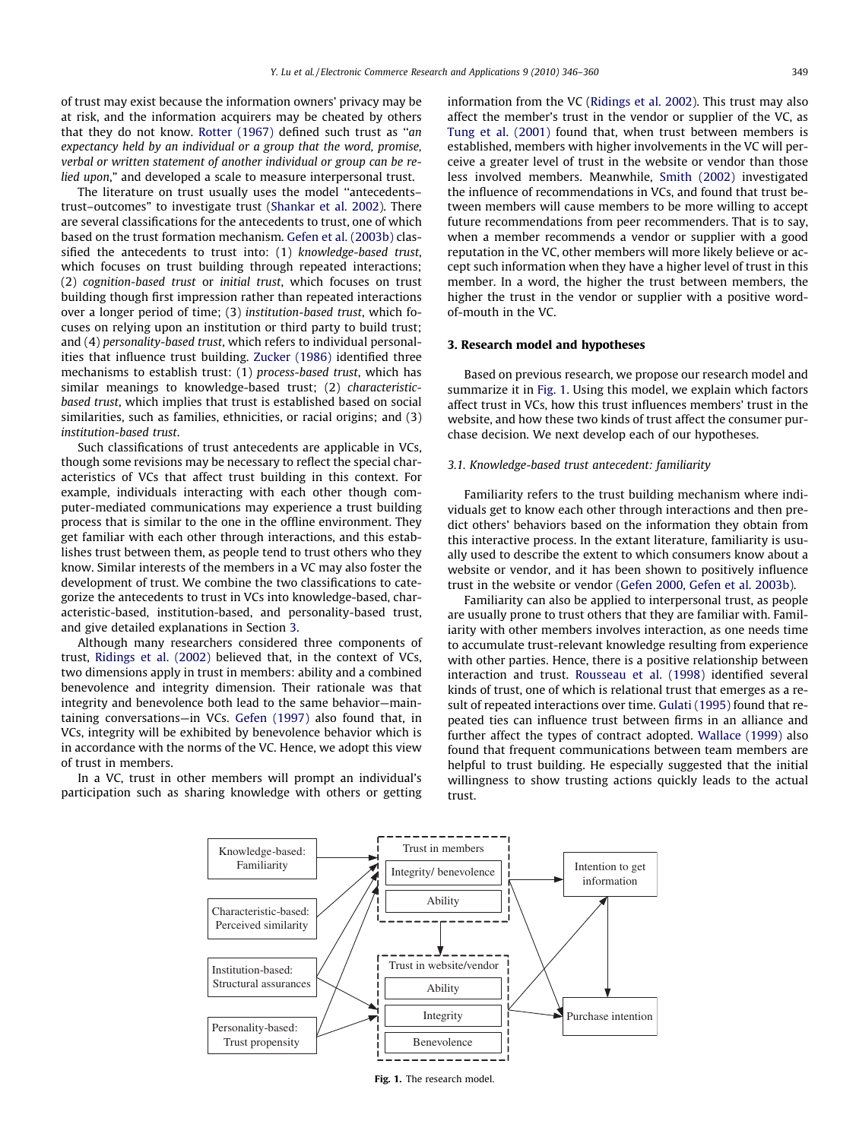<span id="page-3-0"></span>of trust may exist because the information owners' privacy may be at risk, and the information acquirers may be cheated by others that they do not know. [Rotter \(1967\)](#page-14-0) defined such trust as ''an expectancy held by an individual or a group that the word, promise, verbal or written statement of another individual or group can be relied upon," and developed a scale to measure interpersonal trust.

The literature on trust usually uses the model ''antecedents– trust–outcomes" to investigate trust ([Shankar et al. 2002\)](#page-14-0). There are several classifications for the antecedents to trust, one of which based on the trust formation mechanism. [Gefen et al. \(2003b\)](#page-14-0) classified the antecedents to trust into: (1) knowledge-based trust, which focuses on trust building through repeated interactions; (2) cognition-based trust or initial trust, which focuses on trust building though first impression rather than repeated interactions over a longer period of time; (3) institution-based trust, which focuses on relying upon an institution or third party to build trust; and (4) personality-based trust, which refers to individual personalities that influence trust building. [Zucker \(1986\)](#page-14-0) identified three mechanisms to establish trust: (1) process-based trust, which has similar meanings to knowledge-based trust; (2) characteristicbased trust, which implies that trust is established based on social similarities, such as families, ethnicities, or racial origins; and (3) institution-based trust.

Such classifications of trust antecedents are applicable in VCs, though some revisions may be necessary to reflect the special characteristics of VCs that affect trust building in this context. For example, individuals interacting with each other though computer-mediated communications may experience a trust building process that is similar to the one in the offline environment. They get familiar with each other through interactions, and this establishes trust between them, as people tend to trust others who they know. Similar interests of the members in a VC may also foster the development of trust. We combine the two classifications to categorize the antecedents to trust in VCs into knowledge-based, characteristic-based, institution-based, and personality-based trust, and give detailed explanations in Section 3.

Although many researchers considered three components of trust, [Ridings et al. \(2002\)](#page-14-0) believed that, in the context of VCs, two dimensions apply in trust in members: ability and a combined benevolence and integrity dimension. Their rationale was that integrity and benevolence both lead to the same behavior—maintaining conversations—in VCs. [Gefen \(1997\)](#page-14-0) also found that, in VCs, integrity will be exhibited by benevolence behavior which is in accordance with the norms of the VC. Hence, we adopt this view of trust in members.

In a VC, trust in other members will prompt an individual's participation such as sharing knowledge with others or getting information from the VC [\(Ridings et al. 2002\)](#page-14-0). This trust may also affect the member's trust in the vendor or supplier of the VC, as [Tung et al. \(2001\)](#page-14-0) found that, when trust between members is established, members with higher involvements in the VC will perceive a greater level of trust in the website or vendor than those less involved members. Meanwhile, [Smith \(2002\)](#page-14-0) investigated the influence of recommendations in VCs, and found that trust between members will cause members to be more willing to accept future recommendations from peer recommenders. That is to say, when a member recommends a vendor or supplier with a good reputation in the VC, other members will more likely believe or accept such information when they have a higher level of trust in this member. In a word, the higher the trust between members, the higher the trust in the vendor or supplier with a positive wordof-mouth in the VC.

# 3. Research model and hypotheses

Based on previous research, we propose our research model and summarize it in Fig. 1. Using this model, we explain which factors affect trust in VCs, how this trust influences members' trust in the website, and how these two kinds of trust affect the consumer purchase decision. We next develop each of our hypotheses.

#### 3.1. Knowledge-based trust antecedent: familiarity

Familiarity refers to the trust building mechanism where individuals get to know each other through interactions and then predict others' behaviors based on the information they obtain from this interactive process. In the extant literature, familiarity is usually used to describe the extent to which consumers know about a website or vendor, and it has been shown to positively influence trust in the website or vendor ([Gefen 2000, Gefen et al. 2003b](#page-14-0)).

Familiarity can also be applied to interpersonal trust, as people are usually prone to trust others that they are familiar with. Familiarity with other members involves interaction, as one needs time to accumulate trust-relevant knowledge resulting from experience with other parties. Hence, there is a positive relationship between interaction and trust. [Rousseau et al. \(1998\)](#page-14-0) identified several kinds of trust, one of which is relational trust that emerges as a result of repeated interactions over time. [Gulati \(1995\)](#page-14-0) found that repeated ties can influence trust between firms in an alliance and further affect the types of contract adopted. [Wallace \(1999\)](#page-14-0) also found that frequent communications between team members are helpful to trust building. He especially suggested that the initial willingness to show trusting actions quickly leads to the actual trust.



Fig. 1. The research model.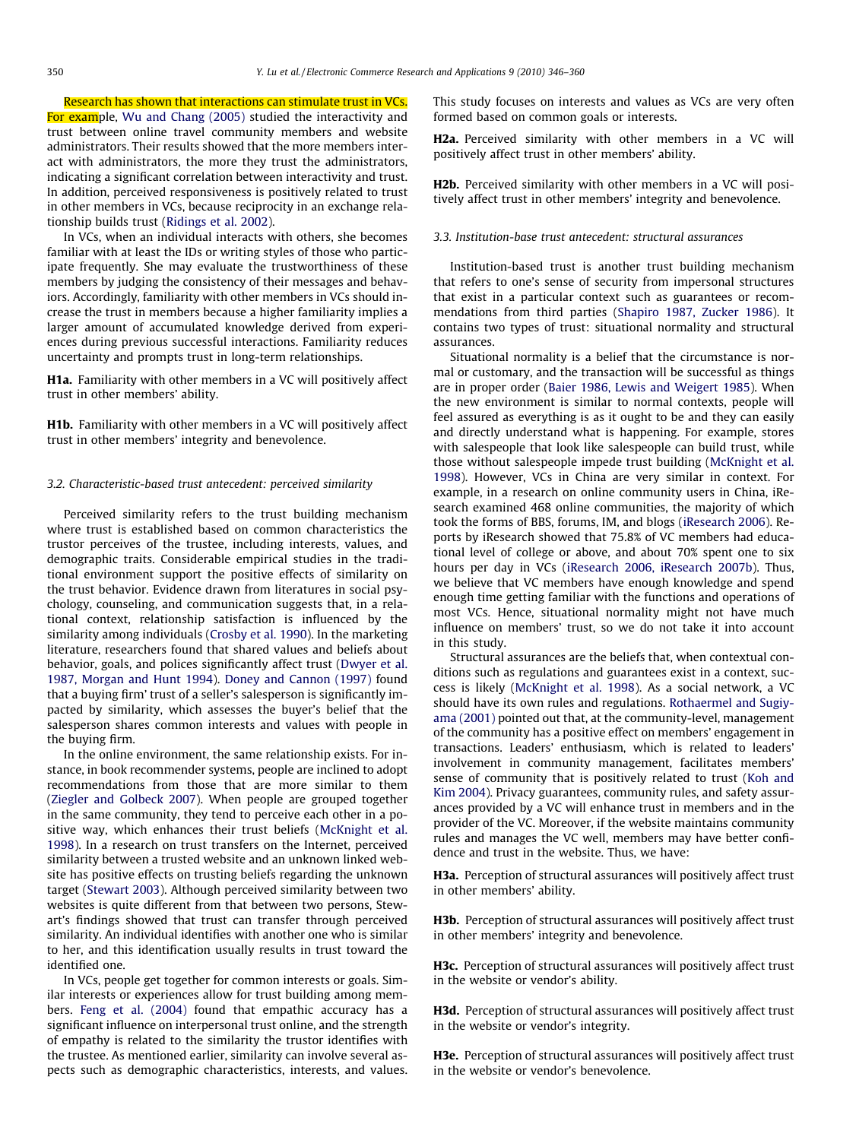Research has shown that interactions can stimulate trust in VCs.

For example, [Wu and Chang \(2005\)](#page-14-0) studied the interactivity and trust between online travel community members and website administrators. Their results showed that the more members interact with administrators, the more they trust the administrators, indicating a significant correlation between interactivity and trust. In addition, perceived responsiveness is positively related to trust in other members in VCs, because reciprocity in an exchange relationship builds trust ([Ridings et al. 2002\)](#page-14-0).

In VCs, when an individual interacts with others, she becomes familiar with at least the IDs or writing styles of those who participate frequently. She may evaluate the trustworthiness of these members by judging the consistency of their messages and behaviors. Accordingly, familiarity with other members in VCs should increase the trust in members because a higher familiarity implies a larger amount of accumulated knowledge derived from experiences during previous successful interactions. Familiarity reduces uncertainty and prompts trust in long-term relationships.

H1a. Familiarity with other members in a VC will positively affect trust in other members' ability.

H1b. Familiarity with other members in a VC will positively affect trust in other members' integrity and benevolence.

## 3.2. Characteristic-based trust antecedent: perceived similarity

Perceived similarity refers to the trust building mechanism where trust is established based on common characteristics the trustor perceives of the trustee, including interests, values, and demographic traits. Considerable empirical studies in the traditional environment support the positive effects of similarity on the trust behavior. Evidence drawn from literatures in social psychology, counseling, and communication suggests that, in a relational context, relationship satisfaction is influenced by the similarity among individuals [\(Crosby et al. 1990\)](#page-13-0). In the marketing literature, researchers found that shared values and beliefs about behavior, goals, and polices significantly affect trust [\(Dwyer et al.](#page-13-0) [1987, Morgan and Hunt 1994](#page-13-0)). [Doney and Cannon \(1997\)](#page-13-0) found that a buying firm' trust of a seller's salesperson is significantly impacted by similarity, which assesses the buyer's belief that the salesperson shares common interests and values with people in the buying firm.

In the online environment, the same relationship exists. For instance, in book recommender systems, people are inclined to adopt recommendations from those that are more similar to them ([Ziegler and Golbeck 2007](#page-14-0)). When people are grouped together in the same community, they tend to perceive each other in a positive way, which enhances their trust beliefs ([McKnight et al.](#page-14-0) [1998\)](#page-14-0). In a research on trust transfers on the Internet, perceived similarity between a trusted website and an unknown linked website has positive effects on trusting beliefs regarding the unknown target ([Stewart 2003](#page-14-0)). Although perceived similarity between two websites is quite different from that between two persons, Stewart's findings showed that trust can transfer through perceived similarity. An individual identifies with another one who is similar to her, and this identification usually results in trust toward the identified one.

In VCs, people get together for common interests or goals. Similar interests or experiences allow for trust building among members. [Feng et al. \(2004\)](#page-13-0) found that empathic accuracy has a significant influence on interpersonal trust online, and the strength of empathy is related to the similarity the trustor identifies with the trustee. As mentioned earlier, similarity can involve several aspects such as demographic characteristics, interests, and values. This study focuses on interests and values as VCs are very often formed based on common goals or interests.

H2a. Perceived similarity with other members in a VC will positively affect trust in other members' ability.

H2b. Perceived similarity with other members in a VC will positively affect trust in other members' integrity and benevolence.

#### 3.3. Institution-base trust antecedent: structural assurances

Institution-based trust is another trust building mechanism that refers to one's sense of security from impersonal structures that exist in a particular context such as guarantees or recommendations from third parties [\(Shapiro 1987, Zucker 1986\)](#page-14-0). It contains two types of trust: situational normality and structural assurances.

Situational normality is a belief that the circumstance is normal or customary, and the transaction will be successful as things are in proper order ([Baier 1986, Lewis and Weigert 1985](#page-13-0)). When the new environment is similar to normal contexts, people will feel assured as everything is as it ought to be and they can easily and directly understand what is happening. For example, stores with salespeople that look like salespeople can build trust, while those without salespeople impede trust building [\(McKnight et al.](#page-14-0) [1998\)](#page-14-0). However, VCs in China are very similar in context. For example, in a research on online community users in China, iResearch examined 468 online communities, the majority of which took the forms of BBS, forums, IM, and blogs [\(iResearch 2006\)](#page-14-0). Reports by iResearch showed that 75.8% of VC members had educational level of college or above, and about 70% spent one to six hours per day in VCs ([iResearch 2006, iResearch 2007b\)](#page-14-0). Thus, we believe that VC members have enough knowledge and spend enough time getting familiar with the functions and operations of most VCs. Hence, situational normality might not have much influence on members' trust, so we do not take it into account in this study.

Structural assurances are the beliefs that, when contextual conditions such as regulations and guarantees exist in a context, success is likely ([McKnight et al. 1998\)](#page-14-0). As a social network, a VC should have its own rules and regulations. [Rothaermel and Sugiy](#page-14-0)[ama \(2001\)](#page-14-0) pointed out that, at the community-level, management of the community has a positive effect on members' engagement in transactions. Leaders' enthusiasm, which is related to leaders' involvement in community management, facilitates members' sense of community that is positively related to trust [\(Koh and](#page-14-0) [Kim 2004](#page-14-0)). Privacy guarantees, community rules, and safety assurances provided by a VC will enhance trust in members and in the provider of the VC. Moreover, if the website maintains community rules and manages the VC well, members may have better confidence and trust in the website. Thus, we have:

**H3a.** Perception of structural assurances will positively affect trust in other members' ability.

H3b. Perception of structural assurances will positively affect trust in other members' integrity and benevolence.

H3c. Perception of structural assurances will positively affect trust in the website or vendor's ability.

H3d. Perception of structural assurances will positively affect trust in the website or vendor's integrity.

H3e. Perception of structural assurances will positively affect trust in the website or vendor's benevolence.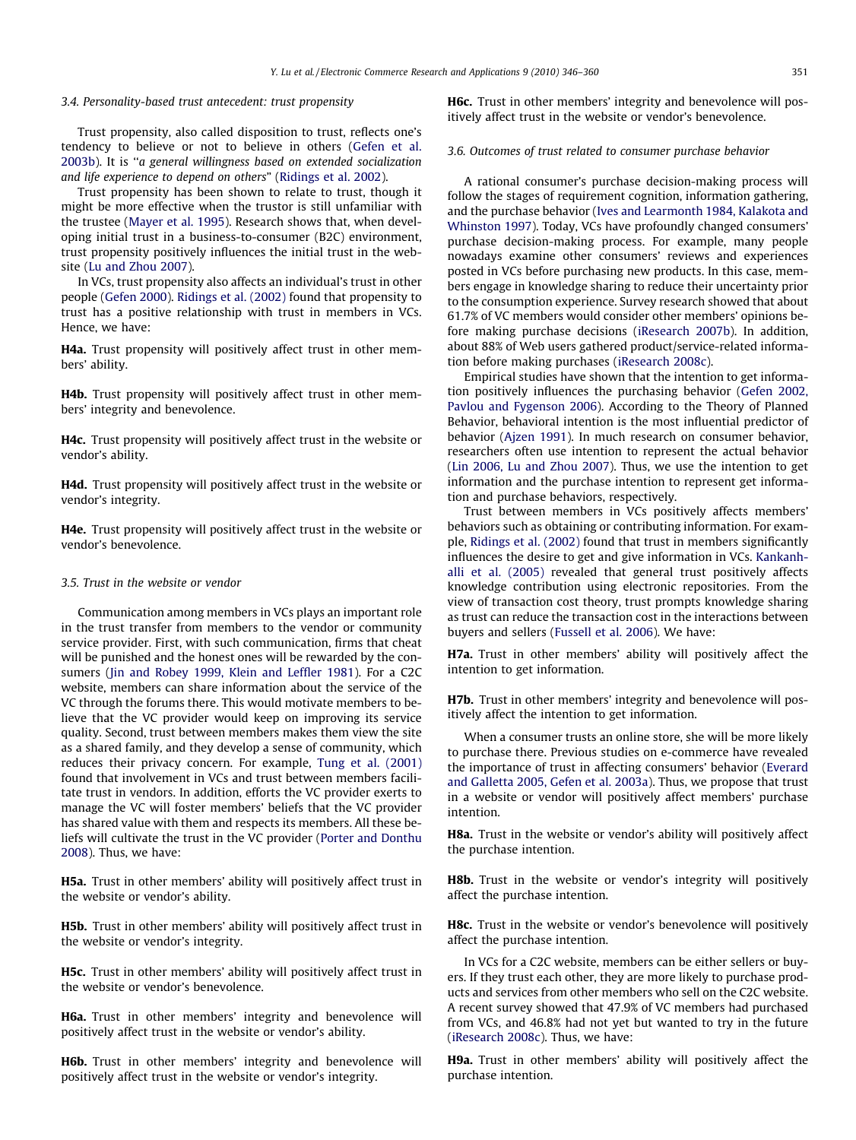#### 3.4. Personality-based trust antecedent: trust propensity

Trust propensity, also called disposition to trust, reflects one's tendency to believe or not to believe in others ([Gefen et al.](#page-14-0) [2003b](#page-14-0)). It is ''a general willingness based on extended socialization and life experience to depend on others" ([Ridings et al. 2002](#page-14-0)).

Trust propensity has been shown to relate to trust, though it might be more effective when the trustor is still unfamiliar with the trustee ([Mayer et al. 1995](#page-14-0)). Research shows that, when developing initial trust in a business-to-consumer (B2C) environment, trust propensity positively influences the initial trust in the website ([Lu and Zhou 2007\)](#page-14-0).

In VCs, trust propensity also affects an individual's trust in other people [\(Gefen 2000](#page-14-0)). [Ridings et al. \(2002\)](#page-14-0) found that propensity to trust has a positive relationship with trust in members in VCs. Hence, we have:

H4a. Trust propensity will positively affect trust in other members' ability.

H4b. Trust propensity will positively affect trust in other members' integrity and benevolence.

H4c. Trust propensity will positively affect trust in the website or vendor's ability.

H4d. Trust propensity will positively affect trust in the website or vendor's integrity.

H4e. Trust propensity will positively affect trust in the website or vendor's benevolence.

# 3.5. Trust in the website or vendor

Communication among members in VCs plays an important role in the trust transfer from members to the vendor or community service provider. First, with such communication, firms that cheat will be punished and the honest ones will be rewarded by the consumers ([Jin and Robey 1999, Klein and Leffler 1981\)](#page-14-0). For a C2C website, members can share information about the service of the VC through the forums there. This would motivate members to believe that the VC provider would keep on improving its service quality. Second, trust between members makes them view the site as a shared family, and they develop a sense of community, which reduces their privacy concern. For example, [Tung et al. \(2001\)](#page-14-0) found that involvement in VCs and trust between members facilitate trust in vendors. In addition, efforts the VC provider exerts to manage the VC will foster members' beliefs that the VC provider has shared value with them and respects its members. All these beliefs will cultivate the trust in the VC provider [\(Porter and Donthu](#page-14-0) [2008](#page-14-0)). Thus, we have:

H5a. Trust in other members' ability will positively affect trust in the website or vendor's ability.

H5b. Trust in other members' ability will positively affect trust in the website or vendor's integrity.

H5c. Trust in other members' ability will positively affect trust in the website or vendor's benevolence.

H6a. Trust in other members' integrity and benevolence will positively affect trust in the website or vendor's ability.

H6b. Trust in other members' integrity and benevolence will positively affect trust in the website or vendor's integrity.

H6c. Trust in other members' integrity and benevolence will positively affect trust in the website or vendor's benevolence.

# 3.6. Outcomes of trust related to consumer purchase behavior

A rational consumer's purchase decision-making process will follow the stages of requirement cognition, information gathering, and the purchase behavior ([Ives and Learmonth 1984, Kalakota and](#page-14-0) [Whinston 1997](#page-14-0)). Today, VCs have profoundly changed consumers' purchase decision-making process. For example, many people nowadays examine other consumers' reviews and experiences posted in VCs before purchasing new products. In this case, members engage in knowledge sharing to reduce their uncertainty prior to the consumption experience. Survey research showed that about 61.7% of VC members would consider other members' opinions before making purchase decisions ([iResearch 2007b](#page-14-0)). In addition, about 88% of Web users gathered product/service-related information before making purchases [\(iResearch 2008c\)](#page-14-0).

Empirical studies have shown that the intention to get information positively influences the purchasing behavior ([Gefen 2002,](#page-14-0) [Pavlou and Fygenson 2006\)](#page-14-0). According to the Theory of Planned Behavior, behavioral intention is the most influential predictor of behavior [\(Ajzen 1991\)](#page-13-0). In much research on consumer behavior, researchers often use intention to represent the actual behavior ([Lin 2006, Lu and Zhou 2007](#page-14-0)). Thus, we use the intention to get information and the purchase intention to represent get information and purchase behaviors, respectively.

Trust between members in VCs positively affects members' behaviors such as obtaining or contributing information. For example, [Ridings et al. \(2002\)](#page-14-0) found that trust in members significantly influences the desire to get and give information in VCs. [Kankanh](#page-14-0)[alli et al. \(2005\)](#page-14-0) revealed that general trust positively affects knowledge contribution using electronic repositories. From the view of transaction cost theory, trust prompts knowledge sharing as trust can reduce the transaction cost in the interactions between buyers and sellers [\(Fussell et al. 2006\)](#page-14-0). We have:

H7a. Trust in other members' ability will positively affect the intention to get information.

H7b. Trust in other members' integrity and benevolence will positively affect the intention to get information.

When a consumer trusts an online store, she will be more likely to purchase there. Previous studies on e-commerce have revealed the importance of trust in affecting consumers' behavior ([Everard](#page-13-0) [and Galletta 2005, Gefen et al. 2003a](#page-13-0)). Thus, we propose that trust in a website or vendor will positively affect members' purchase intention.

H8a. Trust in the website or vendor's ability will positively affect the purchase intention.

H8b. Trust in the website or vendor's integrity will positively affect the purchase intention.

**H8c.** Trust in the website or vendor's benevolence will positively affect the purchase intention.

In VCs for a C2C website, members can be either sellers or buyers. If they trust each other, they are more likely to purchase products and services from other members who sell on the C2C website. A recent survey showed that 47.9% of VC members had purchased from VCs, and 46.8% had not yet but wanted to try in the future ([iResearch 2008c](#page-14-0)). Thus, we have:

H9a. Trust in other members' ability will positively affect the purchase intention.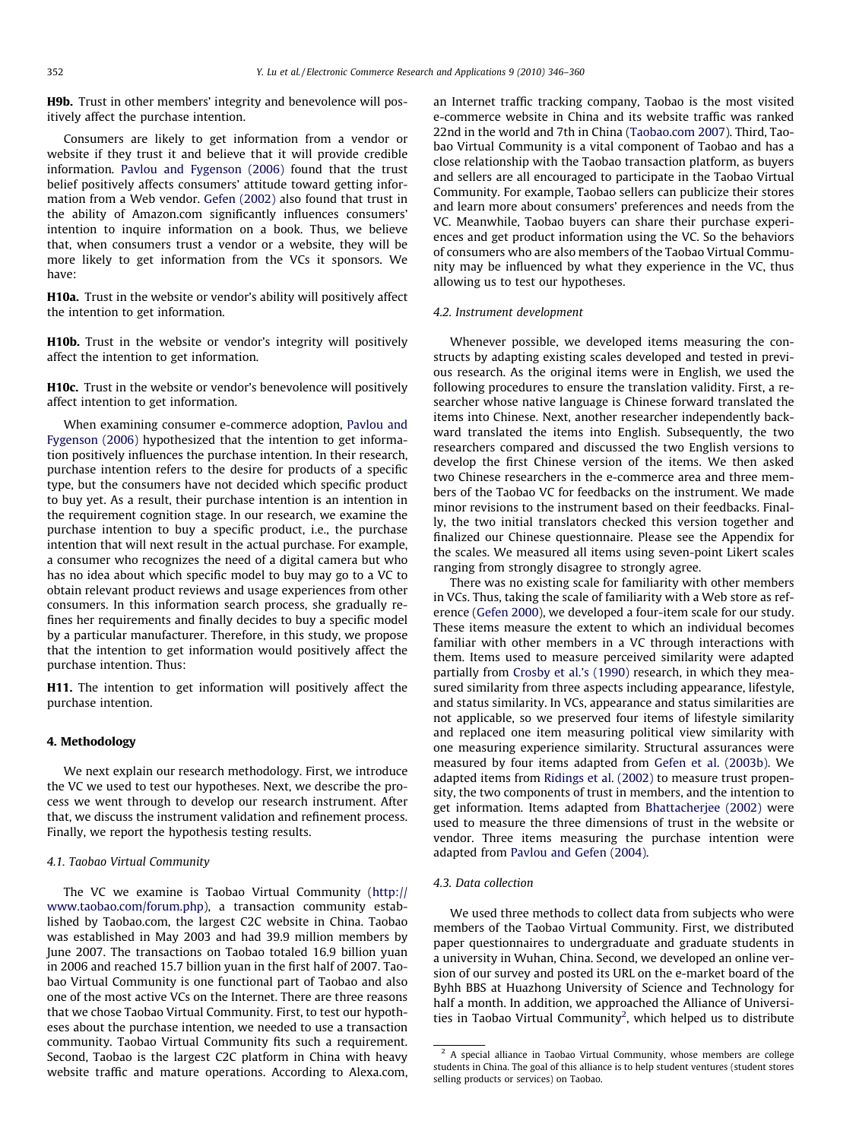<span id="page-6-0"></span>H9b. Trust in other members' integrity and benevolence will positively affect the purchase intention.

Consumers are likely to get information from a vendor or website if they trust it and believe that it will provide credible information. [Pavlou and Fygenson \(2006\)](#page-14-0) found that the trust belief positively affects consumers' attitude toward getting information from a Web vendor. [Gefen \(2002\)](#page-14-0) also found that trust in the ability of Amazon.com significantly influences consumers' intention to inquire information on a book. Thus, we believe that, when consumers trust a vendor or a website, they will be more likely to get information from the VCs it sponsors. We have:

H10a. Trust in the website or vendor's ability will positively affect the intention to get information.

H10b. Trust in the website or vendor's integrity will positively affect the intention to get information.

H10c. Trust in the website or vendor's benevolence will positively affect intention to get information.

When examining consumer e-commerce adoption, [Pavlou and](#page-14-0) [Fygenson \(2006\)](#page-14-0) hypothesized that the intention to get information positively influences the purchase intention. In their research, purchase intention refers to the desire for products of a specific type, but the consumers have not decided which specific product to buy yet. As a result, their purchase intention is an intention in the requirement cognition stage. In our research, we examine the purchase intention to buy a specific product, i.e., the purchase intention that will next result in the actual purchase. For example, a consumer who recognizes the need of a digital camera but who has no idea about which specific model to buy may go to a VC to obtain relevant product reviews and usage experiences from other consumers. In this information search process, she gradually refines her requirements and finally decides to buy a specific model by a particular manufacturer. Therefore, in this study, we propose that the intention to get information would positively affect the purchase intention. Thus:

H11. The intention to get information will positively affect the purchase intention.

# 4. Methodology

We next explain our research methodology. First, we introduce the VC we used to test our hypotheses. Next, we describe the process we went through to develop our research instrument. After that, we discuss the instrument validation and refinement process. Finally, we report the hypothesis testing results.

#### 4.1. Taobao Virtual Community

The VC we examine is Taobao Virtual Community [\(http://](http://www.taobao.com/forum.php) [www.taobao.com/forum.php\)](http://www.taobao.com/forum.php), a transaction community established by Taobao.com, the largest C2C website in China. Taobao was established in May 2003 and had 39.9 million members by June 2007. The transactions on Taobao totaled 16.9 billion yuan in 2006 and reached 15.7 billion yuan in the first half of 2007. Taobao Virtual Community is one functional part of Taobao and also one of the most active VCs on the Internet. There are three reasons that we chose Taobao Virtual Community. First, to test our hypotheses about the purchase intention, we needed to use a transaction community. Taobao Virtual Community fits such a requirement. Second, Taobao is the largest C2C platform in China with heavy website traffic and mature operations. According to Alexa.com, an Internet traffic tracking company, Taobao is the most visited e-commerce website in China and its website traffic was ranked 22nd in the world and 7th in China ([Taobao.com 2007\)](#page-14-0). Third, Taobao Virtual Community is a vital component of Taobao and has a close relationship with the Taobao transaction platform, as buyers and sellers are all encouraged to participate in the Taobao Virtual Community. For example, Taobao sellers can publicize their stores and learn more about consumers' preferences and needs from the VC. Meanwhile, Taobao buyers can share their purchase experiences and get product information using the VC. So the behaviors of consumers who are also members of the Taobao Virtual Community may be influenced by what they experience in the VC, thus allowing us to test our hypotheses.

#### 4.2. Instrument development

Whenever possible, we developed items measuring the constructs by adapting existing scales developed and tested in previous research. As the original items were in English, we used the following procedures to ensure the translation validity. First, a researcher whose native language is Chinese forward translated the items into Chinese. Next, another researcher independently backward translated the items into English. Subsequently, the two researchers compared and discussed the two English versions to develop the first Chinese version of the items. We then asked two Chinese researchers in the e-commerce area and three members of the Taobao VC for feedbacks on the instrument. We made minor revisions to the instrument based on their feedbacks. Finally, the two initial translators checked this version together and finalized our Chinese questionnaire. Please see the Appendix for the scales. We measured all items using seven-point Likert scales ranging from strongly disagree to strongly agree.

There was no existing scale for familiarity with other members in VCs. Thus, taking the scale of familiarity with a Web store as reference ([Gefen 2000\)](#page-14-0), we developed a four-item scale for our study. These items measure the extent to which an individual becomes familiar with other members in a VC through interactions with them. Items used to measure perceived similarity were adapted partially from [Crosby et al.'s \(1990\)](#page-13-0) research, in which they measured similarity from three aspects including appearance, lifestyle, and status similarity. In VCs, appearance and status similarities are not applicable, so we preserved four items of lifestyle similarity and replaced one item measuring political view similarity with one measuring experience similarity. Structural assurances were measured by four items adapted from [Gefen et al. \(2003b\)](#page-14-0). We adapted items from [Ridings et al. \(2002\)](#page-14-0) to measure trust propensity, the two components of trust in members, and the intention to get information. Items adapted from [Bhattacherjee \(2002\)](#page-13-0) were used to measure the three dimensions of trust in the website or vendor. Three items measuring the purchase intention were adapted from [Pavlou and Gefen \(2004\).](#page-14-0)

# 4.3. Data collection

We used three methods to collect data from subjects who were members of the Taobao Virtual Community. First, we distributed paper questionnaires to undergraduate and graduate students in a university in Wuhan, China. Second, we developed an online version of our survey and posted its URL on the e-market board of the Byhh BBS at Huazhong University of Science and Technology for half a month. In addition, we approached the Alliance of Universities in Taobao Virtual Community<sup>2</sup>, which helped us to distribute

 $2$  A special alliance in Taobao Virtual Community, whose members are college students in China. The goal of this alliance is to help student ventures (student stores selling products or services) on Taobao.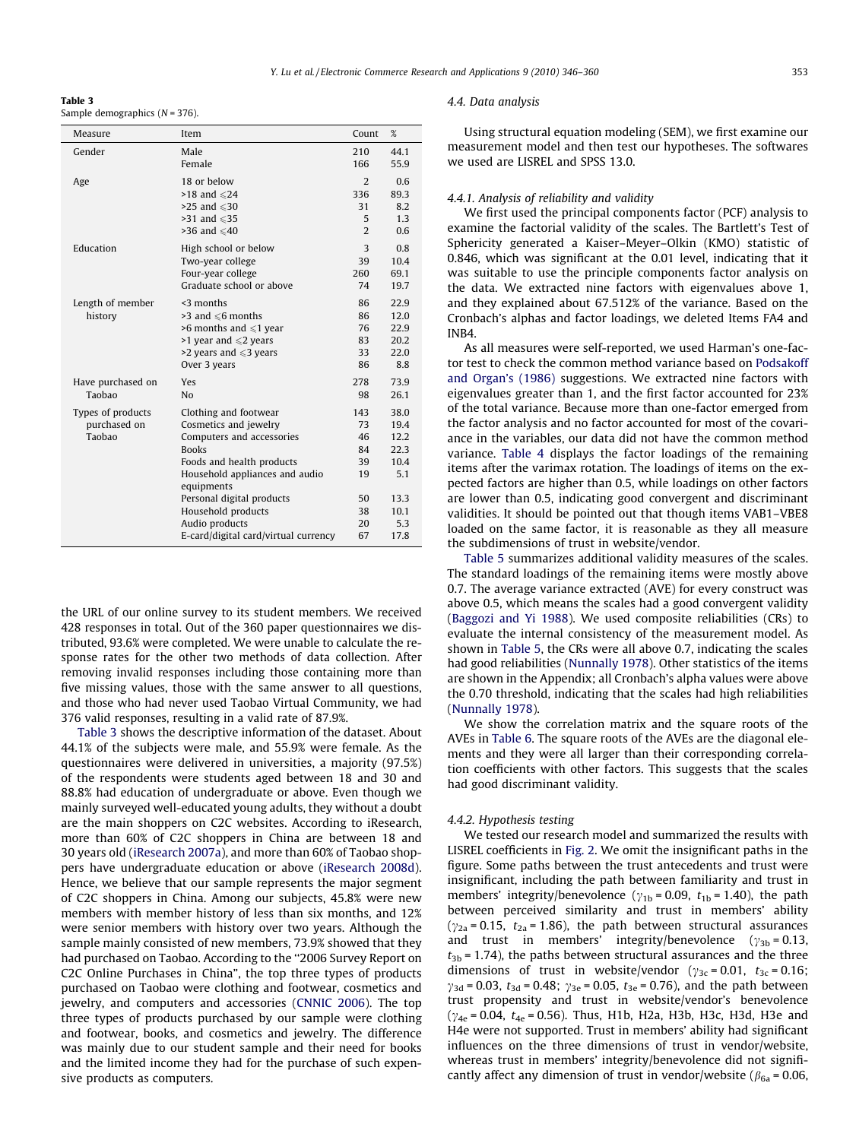Table 3 Sample demographics  $(N = 376)$ .

| Measure                                     | Item                                                                                                                                                                                                                        | Count                                         | %                                                           |
|---------------------------------------------|-----------------------------------------------------------------------------------------------------------------------------------------------------------------------------------------------------------------------------|-----------------------------------------------|-------------------------------------------------------------|
| Gender                                      | Male                                                                                                                                                                                                                        | 210                                           | 44.1                                                        |
|                                             | Female                                                                                                                                                                                                                      | 166                                           | 55.9                                                        |
| Age                                         | 18 or below                                                                                                                                                                                                                 | $\overline{2}$                                | 0.6                                                         |
|                                             | $>18$ and $\leq 24$                                                                                                                                                                                                         | 336                                           | 89.3                                                        |
|                                             | $>25$ and $\leq 30$                                                                                                                                                                                                         | 31                                            | 8.2                                                         |
|                                             | $>31$ and $\leq 35$                                                                                                                                                                                                         | 5                                             | 1.3                                                         |
|                                             | >36 and $\leq 40$                                                                                                                                                                                                           | $\overline{2}$                                | 0.6                                                         |
| Education                                   | High school or below                                                                                                                                                                                                        | 3                                             | 0.8                                                         |
|                                             | Two-year college                                                                                                                                                                                                            | 39                                            | 10.4                                                        |
|                                             | Four-year college                                                                                                                                                                                                           | 260                                           | 69.1                                                        |
|                                             | Graduate school or above                                                                                                                                                                                                    | 74                                            | 19.7                                                        |
| Length of member<br>history                 | $<$ 3 months<br>$>3$ and $\leq 6$ months<br>$>6$ months and $\leq 1$ year<br>>1 year and $\leq 2$ years<br>>2 years and $\leqslant$ 3 years<br>Over 3 years                                                                 | 86<br>86<br>76<br>83<br>33<br>86              | 22.9<br>12.0<br>22.9<br>20.2<br>22.0<br>8.8                 |
| Have purchased on                           | Yes                                                                                                                                                                                                                         | 278                                           | 73.9                                                        |
| Taobao                                      | N <sub>0</sub>                                                                                                                                                                                                              | 98                                            | 26.1                                                        |
| Types of products<br>purchased on<br>Taobao | Clothing and footwear<br>Cosmetics and jewelry<br>Computers and accessories<br><b>Books</b><br>Foods and health products<br>Household appliances and audio<br>equipments<br>Personal digital products<br>Household products | 143<br>73<br>46<br>84<br>39<br>19<br>50<br>38 | 38.0<br>19.4<br>12.2<br>22.3<br>10.4<br>5.1<br>13.3<br>10.1 |
|                                             | Audio products                                                                                                                                                                                                              | 20                                            | 5.3                                                         |
|                                             | E-card/digital card/virtual currency                                                                                                                                                                                        | 67                                            | 17.8                                                        |

the URL of our online survey to its student members. We received 428 responses in total. Out of the 360 paper questionnaires we distributed, 93.6% were completed. We were unable to calculate the response rates for the other two methods of data collection. After removing invalid responses including those containing more than five missing values, those with the same answer to all questions, and those who had never used Taobao Virtual Community, we had 376 valid responses, resulting in a valid rate of 87.9%.

Table 3 shows the descriptive information of the dataset. About 44.1% of the subjects were male, and 55.9% were female. As the questionnaires were delivered in universities, a majority (97.5%) of the respondents were students aged between 18 and 30 and 88.8% had education of undergraduate or above. Even though we mainly surveyed well-educated young adults, they without a doubt are the main shoppers on C2C websites. According to iResearch, more than 60% of C2C shoppers in China are between 18 and 30 years old ([iResearch 2007a\)](#page-14-0), and more than 60% of Taobao shoppers have undergraduate education or above [\(iResearch 2008d\)](#page-14-0). Hence, we believe that our sample represents the major segment of C2C shoppers in China. Among our subjects, 45.8% were new members with member history of less than six months, and 12% were senior members with history over two years. Although the sample mainly consisted of new members, 73.9% showed that they had purchased on Taobao. According to the ''2006 Survey Report on C2C Online Purchases in China", the top three types of products purchased on Taobao were clothing and footwear, cosmetics and jewelry, and computers and accessories ([CNNIC 2006](#page-13-0)). The top three types of products purchased by our sample were clothing and footwear, books, and cosmetics and jewelry. The difference was mainly due to our student sample and their need for books and the limited income they had for the purchase of such expensive products as computers.

#### 4.4. Data analysis

Using structural equation modeling (SEM), we first examine our measurement model and then test our hypotheses. The softwares we used are LISREL and SPSS 13.0.

## 4.4.1. Analysis of reliability and validity

We first used the principal components factor (PCF) analysis to examine the factorial validity of the scales. The Bartlett's Test of Sphericity generated a Kaiser–Meyer–Olkin (KMO) statistic of 0.846, which was significant at the 0.01 level, indicating that it was suitable to use the principle components factor analysis on the data. We extracted nine factors with eigenvalues above 1, and they explained about 67.512% of the variance. Based on the Cronbach's alphas and factor loadings, we deleted Items FA4 and INB4.

As all measures were self-reported, we used Harman's one-factor test to check the common method variance based on [Podsakoff](#page-14-0) [and Organ's \(1986\)](#page-14-0) suggestions. We extracted nine factors with eigenvalues greater than 1, and the first factor accounted for 23% of the total variance. Because more than one-factor emerged from the factor analysis and no factor accounted for most of the covariance in the variables, our data did not have the common method variance. [Table 4](#page-8-0) displays the factor loadings of the remaining items after the varimax rotation. The loadings of items on the expected factors are higher than 0.5, while loadings on other factors are lower than 0.5, indicating good convergent and discriminant validities. It should be pointed out that though items VAB1–VBE8 loaded on the same factor, it is reasonable as they all measure the subdimensions of trust in website/vendor.

[Table 5](#page-9-0) summarizes additional validity measures of the scales. The standard loadings of the remaining items were mostly above 0.7. The average variance extracted (AVE) for every construct was above 0.5, which means the scales had a good convergent validity ([Baggozi and Yi 1988\)](#page-13-0). We used composite reliabilities (CRs) to evaluate the internal consistency of the measurement model. As shown in [Table 5,](#page-9-0) the CRs were all above 0.7, indicating the scales had good reliabilities ([Nunnally 1978\)](#page-14-0). Other statistics of the items are shown in the Appendix; all Cronbach's alpha values were above the 0.70 threshold, indicating that the scales had high reliabilities ([Nunnally 1978\)](#page-14-0).

We show the correlation matrix and the square roots of the AVEs in [Table 6](#page-9-0). The square roots of the AVEs are the diagonal elements and they were all larger than their corresponding correlation coefficients with other factors. This suggests that the scales had good discriminant validity.

#### 4.4.2. Hypothesis testing

We tested our research model and summarized the results with LISREL coefficients in [Fig. 2.](#page-10-0) We omit the insignificant paths in the figure. Some paths between the trust antecedents and trust were insignificant, including the path between familiarity and trust in members' integrity/benevolence ( $\gamma_{1b}$  = 0.09,  $t_{1b}$  = 1.40), the path between perceived similarity and trust in members' ability  $(\gamma_{2a} = 0.15, t_{2a} = 1.86)$ , the path between structural assurances and trust in members' integrity/benevolence  $(\gamma_{3b} = 0.13,$  $t_{3b}$  = 1.74), the paths between structural assurances and the three dimensions of trust in website/vendor ( $\gamma_{3c}$  = 0.01,  $t_{3c}$  = 0.16;  $\gamma_{3d} = 0.03$ ,  $t_{3d} = 0.48$ ;  $\gamma_{3e} = 0.05$ ,  $t_{3e} = 0.76$ ), and the path between trust propensity and trust in website/vendor's benevolence  $(\gamma_{4e} = 0.04, t_{4e} = 0.56)$ . Thus, H1b, H2a, H3b, H3c, H3d, H3e and H4e were not supported. Trust in members' ability had significant influences on the three dimensions of trust in vendor/website, whereas trust in members' integrity/benevolence did not significantly affect any dimension of trust in vendor/website ( $\beta_{6a}$  = 0.06,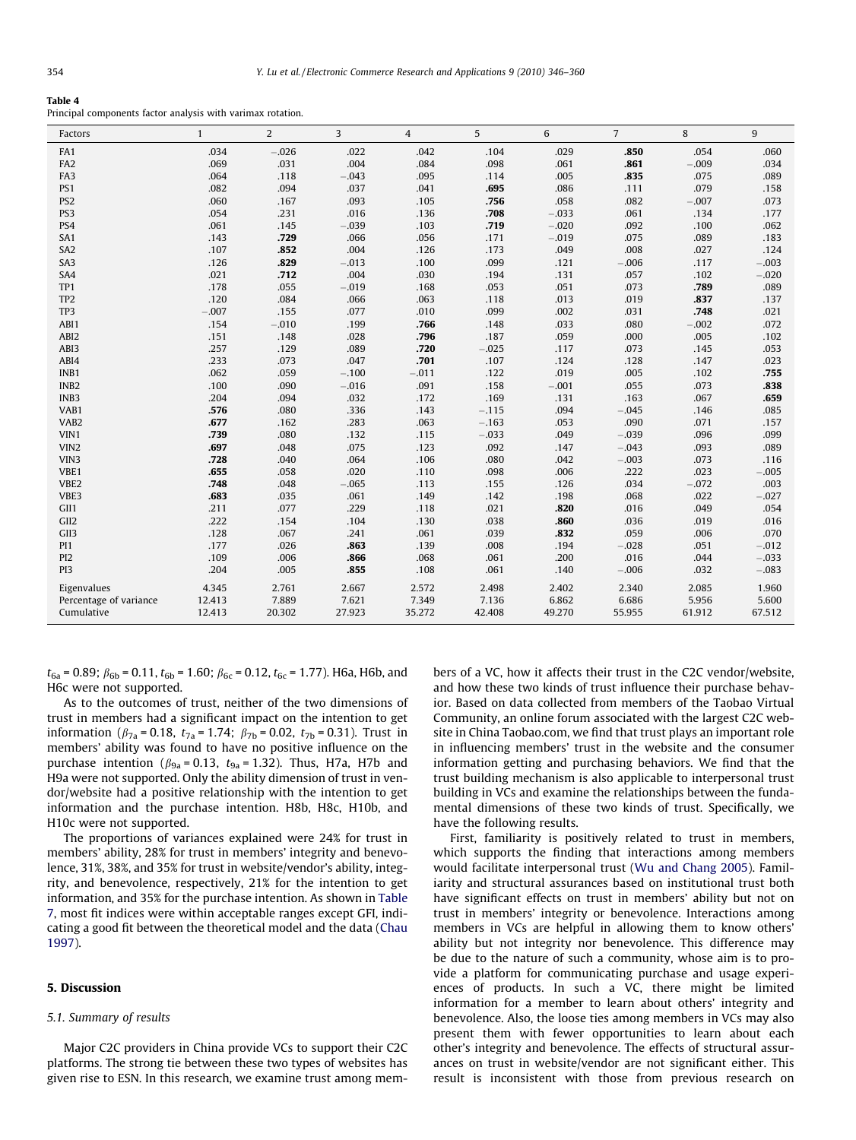#### <span id="page-8-0"></span>Table 4

Principal components factor analysis with varimax rotation.

| Factors                | $\mathbf{1}$ | $\overline{2}$ | 3       | $\overline{4}$ | 5       | 6       | $\overline{7}$ | 8       | 9       |
|------------------------|--------------|----------------|---------|----------------|---------|---------|----------------|---------|---------|
| FA1                    | .034         | $-.026$        | .022    | .042           | .104    | .029    | .850           | .054    | .060    |
| FA <sub>2</sub>        | .069         | .031           | .004    | .084           | .098    | .061    | .861           | $-.009$ | .034    |
| FA3                    | .064         | .118           | $-.043$ | .095           | .114    | .005    | .835           | .075    | .089    |
| PS1                    | .082         | .094           | .037    | .041           | .695    | .086    | .111           | .079    | .158    |
| PS <sub>2</sub>        | .060         | .167           | .093    | .105           | .756    | .058    | .082           | $-.007$ | .073    |
| PS3                    | .054         | .231           | .016    | .136           | .708    | $-.033$ | .061           | .134    | .177    |
| PS4                    | .061         | .145           | $-.039$ | .103           | .719    | $-.020$ | .092           | .100    | .062    |
| SA1                    | .143         | .729           | .066    | .056           | .171    | $-.019$ | .075           | .089    | .183    |
| SA <sub>2</sub>        | .107         | .852           | .004    | .126           | .173    | .049    | .008           | .027    | .124    |
| SA <sub>3</sub>        | .126         | .829           | $-.013$ | .100           | .099    | .121    | $-.006$        | .117    | $-.003$ |
| SA4                    | .021         | .712           | .004    | .030           | .194    | .131    | .057           | .102    | $-.020$ |
| TP1                    | .178         | .055           | $-.019$ | .168           | .053    | .051    | .073           | .789    | .089    |
| TP <sub>2</sub>        | .120         | .084           | .066    | .063           | .118    | .013    | .019           | .837    | .137    |
| TP3                    | $-.007$      | .155           | .077    | .010           | .099    | .002    | .031           | .748    | .021    |
| ABI1                   | .154         | $-.010$        | .199    | .766           | .148    | .033    | .080           | $-.002$ | .072    |
| ABI2                   | .151         | .148           | .028    | .796           | .187    | .059    | .000           | .005    | .102    |
| ABI3                   | .257         | .129           | .089    | .720           | $-.025$ | .117    | .073           | .145    | .053    |
| ABI4                   | .233         | .073           | .047    | .701           | .107    | .124    | .128           | .147    | .023    |
| INB1                   | .062         | .059           | $-.100$ | $-.011$        | .122    | .019    | .005           | .102    | .755    |
| INB <sub>2</sub>       | .100         | .090           | $-.016$ | .091           | .158    | $-.001$ | .055           | .073    | .838    |
| INB3                   | .204         | .094           | .032    | .172           | .169    | .131    | .163           | .067    | .659    |
| VAB1                   | .576         | .080           | .336    | .143           | $-.115$ | .094    | $-.045$        | .146    | .085    |
| VAB <sub>2</sub>       | .677         | .162           | .283    | .063           | $-.163$ | .053    | .090           | .071    | .157    |
| VIN1                   | .739         | .080           | .132    | .115           | $-.033$ | .049    | $-.039$        | .096    | .099    |
| VIN <sub>2</sub>       | .697         | .048           | .075    | .123           | .092    | .147    | $-.043$        | .093    | .089    |
| VIN3                   | .728         | .040           | .064    | .106           | .080    | .042    | $-.003$        | .073    | .116    |
| VBE1                   | .655         | .058           | .020    | .110           | .098    | .006    | .222           | .023    | $-.005$ |
| VBE2                   | .748         | .048           | $-.065$ | .113           | .155    | .126    | .034           | $-.072$ | .003    |
| VBE3                   | .683         | .035           | .061    | .149           | .142    | .198    | .068           | .022    | $-.027$ |
| GII <sub>1</sub>       | .211         | .077           | .229    | .118           | .021    | .820    | .016           | .049    | .054    |
| GII <sub>2</sub>       | .222         | .154           | .104    | .130           | .038    | .860    | .036           | .019    | .016    |
| GII3                   | .128         | .067           | .241    | .061           | .039    | .832    | .059           | .006    | .070    |
| PI1                    | .177         | .026           | .863    | .139           | .008    | .194    | $-.028$        | .051    | $-.012$ |
| PI <sub>2</sub>        | .109         | .006           | .866    | .068           | .061    | .200    | .016           | .044    | $-.033$ |
| P <sub>13</sub>        | .204         | .005           | .855    | .108           | .061    | .140    | $-.006$        | .032    | $-.083$ |
| Eigenvalues            | 4.345        | 2.761          | 2.667   | 2.572          | 2.498   | 2.402   | 2.340          | 2.085   | 1.960   |
| Percentage of variance | 12.413       | 7.889          | 7.621   | 7.349          | 7.136   | 6.862   | 6.686          | 5.956   | 5.600   |
| Cumulative             | 12.413       | 20.302         | 27.923  | 35.272         | 42.408  | 49.270  | 55.955         | 61.912  | 67.512  |

 $t_{6a}$  = 0.89;  $\beta_{6b}$  = 0.11,  $t_{6b}$  = 1.60;  $\beta_{6c}$  = 0.12,  $t_{6c}$  = 1.77). H6a, H6b, and H6c were not supported.

As to the outcomes of trust, neither of the two dimensions of trust in members had a significant impact on the intention to get information ( $\beta_{7a}$  = 0.18,  $t_{7a}$  = 1.74;  $\beta_{7b}$  = 0.02,  $t_{7b}$  = 0.31). Trust in members' ability was found to have no positive influence on the purchase intention ( $\beta_{9a}$  = 0.13,  $t_{9a}$  = 1.32). Thus, H7a, H7b and H9a were not supported. Only the ability dimension of trust in vendor/website had a positive relationship with the intention to get information and the purchase intention. H8b, H8c, H10b, and H10c were not supported.

The proportions of variances explained were 24% for trust in members' ability, 28% for trust in members' integrity and benevolence, 31%, 38%, and 35% for trust in website/vendor's ability, integrity, and benevolence, respectively, 21% for the intention to get information, and 35% for the purchase intention. As shown in [Table](#page-10-0) [7](#page-10-0), most fit indices were within acceptable ranges except GFI, indicating a good fit between the theoretical model and the data ([Chau](#page-13-0) [1997\)](#page-13-0).

# 5. Discussion

#### 5.1. Summary of results

Major C2C providers in China provide VCs to support their C2C platforms. The strong tie between these two types of websites has given rise to ESN. In this research, we examine trust among members of a VC, how it affects their trust in the C2C vendor/website, and how these two kinds of trust influence their purchase behavior. Based on data collected from members of the Taobao Virtual Community, an online forum associated with the largest C2C website in China Taobao.com, we find that trust plays an important role in influencing members' trust in the website and the consumer information getting and purchasing behaviors. We find that the trust building mechanism is also applicable to interpersonal trust building in VCs and examine the relationships between the fundamental dimensions of these two kinds of trust. Specifically, we have the following results.

First, familiarity is positively related to trust in members, which supports the finding that interactions among members would facilitate interpersonal trust ([Wu and Chang 2005\)](#page-14-0). Familiarity and structural assurances based on institutional trust both have significant effects on trust in members' ability but not on trust in members' integrity or benevolence. Interactions among members in VCs are helpful in allowing them to know others' ability but not integrity nor benevolence. This difference may be due to the nature of such a community, whose aim is to provide a platform for communicating purchase and usage experiences of products. In such a VC, there might be limited information for a member to learn about others' integrity and benevolence. Also, the loose ties among members in VCs may also present them with fewer opportunities to learn about each other's integrity and benevolence. The effects of structural assurances on trust in website/vendor are not significant either. This result is inconsistent with those from previous research on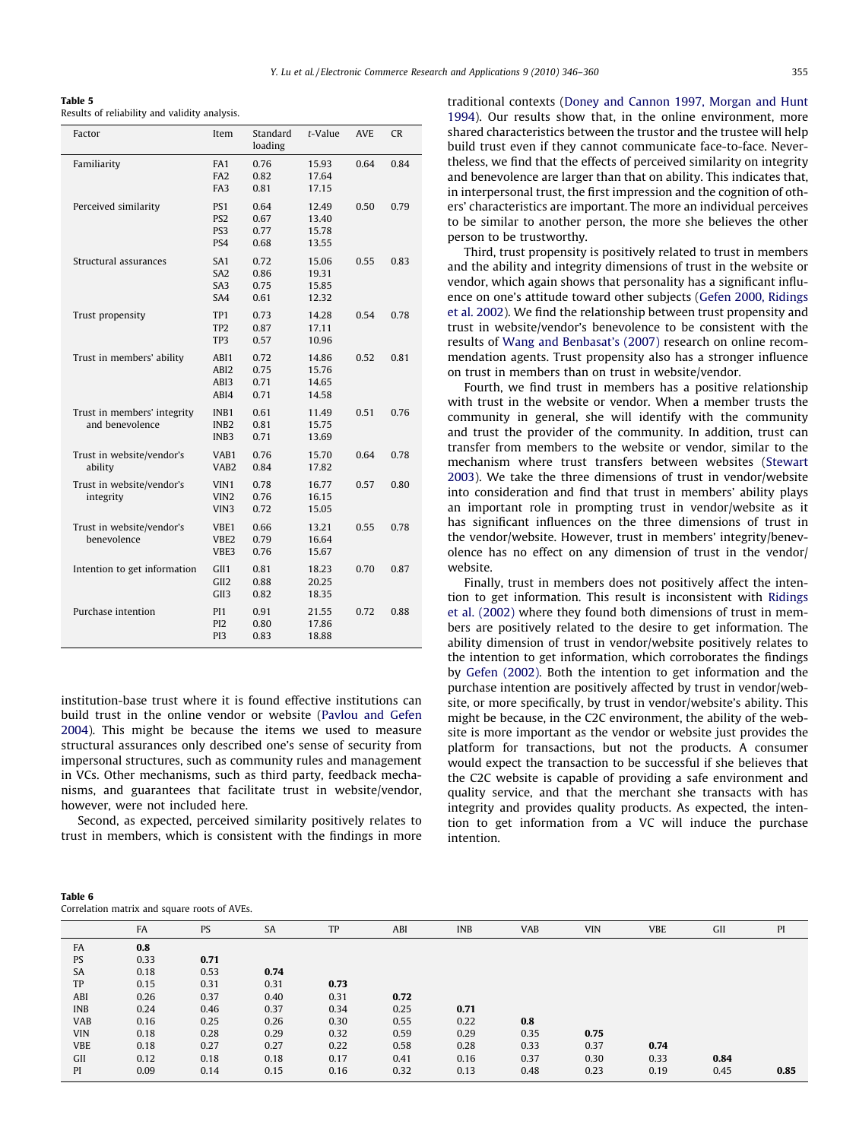<span id="page-9-0"></span>Table 5 Results of reliability and validity analysis.

| Factor                                         | Item                                                         | Standard<br>loading          | t-Value                          | <b>AVE</b> | <b>CR</b> |
|------------------------------------------------|--------------------------------------------------------------|------------------------------|----------------------------------|------------|-----------|
| Familiarity                                    | FA1<br>FA <sub>2</sub><br>FA3                                | 0.76<br>0.82<br>0.81         | 15.93<br>17.64<br>17.15          | 0.64       | 0.84      |
| Perceived similarity                           | PS <sub>1</sub><br>PS <sub>2</sub><br>PS3<br>PS4             | 0.64<br>0.67<br>0.77<br>0.68 | 12.49<br>13.40<br>15.78<br>13.55 | 0.50       | 0.79      |
| Structural assurances                          | SA <sub>1</sub><br>SA <sub>2</sub><br>SA <sub>3</sub><br>SA4 | 0.72<br>0.86<br>0.75<br>0.61 | 15.06<br>19.31<br>15.85<br>12.32 | 0.55       | 0.83      |
| Trust propensity                               | TP1<br>TP <sub>2</sub><br>TP3                                | 0.73<br>0.87<br>0.57         | 14.28<br>17.11<br>10.96          | 0.54       | 0.78      |
| Trust in members' ability                      | ABI1<br>ABI2<br>ABI3<br>ABI4                                 | 0.72<br>0.75<br>0.71<br>0.71 | 14.86<br>15.76<br>14.65<br>14.58 | 0.52       | 0.81      |
| Trust in members' integrity<br>and benevolence | INB <sub>1</sub><br>INB <sub>2</sub><br>INB <sub>3</sub>     | 0.61<br>0.81<br>0.71         | 11.49<br>15.75<br>13.69          | 0.51       | 0.76      |
| Trust in website/vendor's<br>ability           | VAB1<br>VAB <sub>2</sub>                                     | 0.76<br>0.84                 | 15.70<br>17.82                   | 0.64       | 0.78      |
| Trust in website/vendor's<br>integrity         | VIN1<br>VIN <sub>2</sub><br>VIN3                             | 0.78<br>0.76<br>0.72         | 16.77<br>16.15<br>15.05          | 0.57       | 0.80      |
| Trust in website/vendor's<br>benevolence       | VBE1<br>VBE <sub>2</sub><br>VBE3                             | 0.66<br>0.79<br>0.76         | 13.21<br>16.64<br>15.67          | 0.55       | 0.78      |
| Intention to get information                   | GII1<br>GII <sub>2</sub><br>GII3                             | 0.81<br>0.88<br>0.82         | 18.23<br>20.25<br>18.35          | 0.70       | 0.87      |
| Purchase intention                             | PI <sub>1</sub><br>PI <sub>2</sub><br>P <sub>13</sub>        | 0.91<br>0.80<br>0.83         | 21.55<br>17.86<br>18.88          | 0.72       | 0.88      |

institution-base trust where it is found effective institutions can build trust in the online vendor or website ([Pavlou and Gefen](#page-14-0) [2004](#page-14-0)). This might be because the items we used to measure structural assurances only described one's sense of security from impersonal structures, such as community rules and management in VCs. Other mechanisms, such as third party, feedback mechanisms, and guarantees that facilitate trust in website/vendor, however, were not included here.

Second, as expected, perceived similarity positively relates to trust in members, which is consistent with the findings in more

| Table 6                                      |  |  |  |
|----------------------------------------------|--|--|--|
| Correlation matrix and square roots of AVEs. |  |  |  |

| traditional contexts (Doney and Cannon 1997, Morgan and Hunt           |
|------------------------------------------------------------------------|
| 1994). Our results show that, in the online environment, more          |
| shared characteristics between the trustor and the trustee will help   |
| build trust even if they cannot communicate face-to-face. Never-       |
| theless, we find that the effects of perceived similarity on integrity |
| and benevolence are larger than that on ability. This indicates that,  |
| in interpersonal trust, the first impression and the cognition of oth- |
| ers' characteristics are important. The more an individual perceives   |
| to be similar to another person, the more she believes the other       |
| person to be trustworthy.                                              |

Third, trust propensity is positively related to trust in members and the ability and integrity dimensions of trust in the website or vendor, which again shows that personality has a significant influence on one's attitude toward other subjects ([Gefen 2000, Ridings](#page-14-0) [et al. 2002\)](#page-14-0). We find the relationship between trust propensity and trust in website/vendor's benevolence to be consistent with the results of [Wang and Benbasat's \(2007\)](#page-14-0) research on online recommendation agents. Trust propensity also has a stronger influence on trust in members than on trust in website/vendor.

Fourth, we find trust in members has a positive relationship with trust in the website or vendor. When a member trusts the community in general, she will identify with the community and trust the provider of the community. In addition, trust can transfer from members to the website or vendor, similar to the mechanism where trust transfers between websites [\(Stewart](#page-14-0) [2003](#page-14-0)). We take the three dimensions of trust in vendor/website into consideration and find that trust in members' ability plays an important role in prompting trust in vendor/website as it has significant influences on the three dimensions of trust in the vendor/website. However, trust in members' integrity/benevolence has no effect on any dimension of trust in the vendor/ website.

Finally, trust in members does not positively affect the intention to get information. This result is inconsistent with [Ridings](#page-14-0) [et al. \(2002\)](#page-14-0) where they found both dimensions of trust in members are positively related to the desire to get information. The ability dimension of trust in vendor/website positively relates to the intention to get information, which corroborates the findings by [Gefen \(2002\)](#page-14-0). Both the intention to get information and the purchase intention are positively affected by trust in vendor/website, or more specifically, by trust in vendor/website's ability. This might be because, in the C2C environment, the ability of the website is more important as the vendor or website just provides the platform for transactions, but not the products. A consumer would expect the transaction to be successful if she believes that the C2C website is capable of providing a safe environment and quality service, and that the merchant she transacts with has integrity and provides quality products. As expected, the intention to get information from a VC will induce the purchase intention.

|            | FA   | <b>PS</b> | SA   | TP   | ABI  | <b>INB</b> | VAB  | <b>VIN</b> | <b>VBE</b> | GII  | PI   |
|------------|------|-----------|------|------|------|------------|------|------------|------------|------|------|
| FA         | 0.8  |           |      |      |      |            |      |            |            |      |      |
| <b>PS</b>  | 0.33 | 0.71      |      |      |      |            |      |            |            |      |      |
| SA         | 0.18 | 0.53      | 0.74 |      |      |            |      |            |            |      |      |
| TP         | 0.15 | 0.31      | 0.31 | 0.73 |      |            |      |            |            |      |      |
| ABI        | 0.26 | 0.37      | 0.40 | 0.31 | 0.72 |            |      |            |            |      |      |
| <b>INB</b> | 0.24 | 0.46      | 0.37 | 0.34 | 0.25 | 0.71       |      |            |            |      |      |
| VAB        | 0.16 | 0.25      | 0.26 | 0.30 | 0.55 | 0.22       | 0.8  |            |            |      |      |
| <b>VIN</b> | 0.18 | 0.28      | 0.29 | 0.32 | 0.59 | 0.29       | 0.35 | 0.75       |            |      |      |
| <b>VBE</b> | 0.18 | 0.27      | 0.27 | 0.22 | 0.58 | 0.28       | 0.33 | 0.37       | 0.74       |      |      |
| GII        | 0.12 | 0.18      | 0.18 | 0.17 | 0.41 | 0.16       | 0.37 | 0.30       | 0.33       | 0.84 |      |
| PI         | 0.09 | 0.14      | 0.15 | 0.16 | 0.32 | 0.13       | 0.48 | 0.23       | 0.19       | 0.45 | 0.85 |
|            |      |           |      |      |      |            |      |            |            |      |      |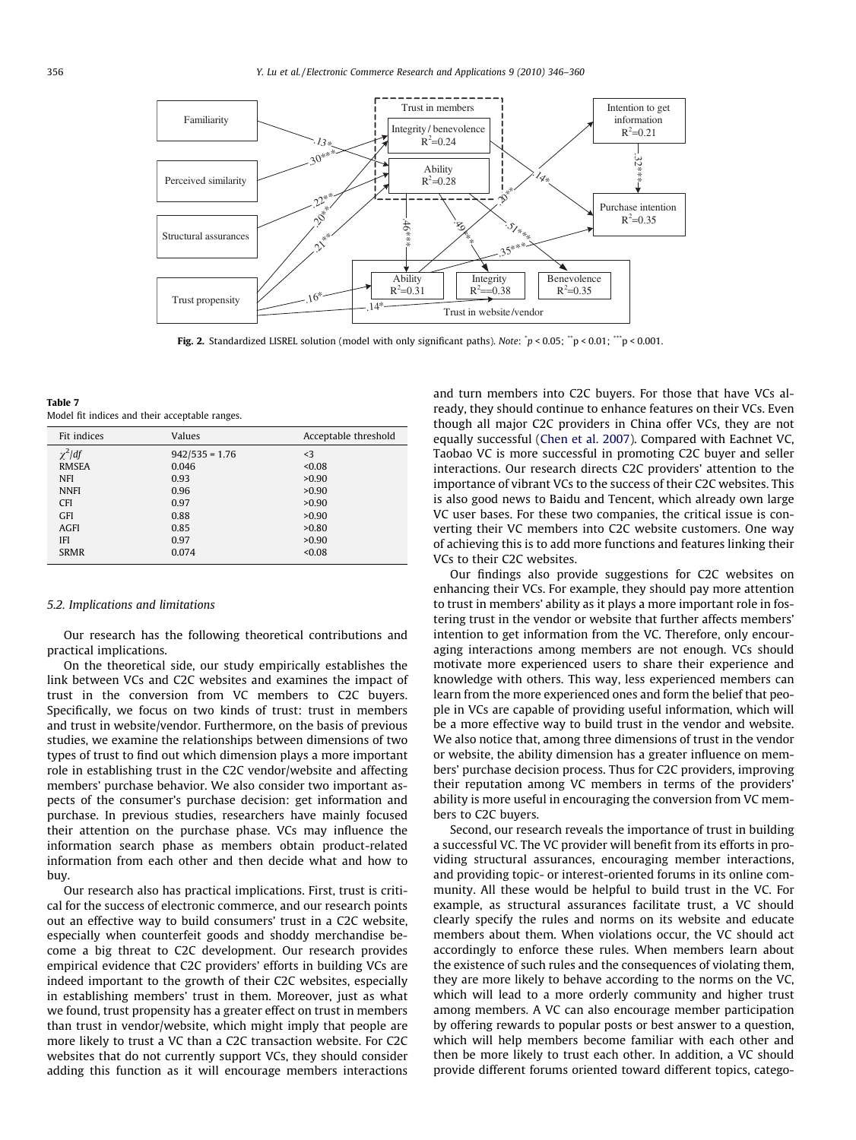<span id="page-10-0"></span>

Fig. 2. Standardized LISREL solution (model with only significant paths). Note:  $\dot{p}$  < 0.05;  $\dddot{p}$  < 0.01;  $\dddot{p}$  < 0.001.

Table 7 Model fit indices and their acceptable ranges.

| Fit indices  | Values           | Acceptable threshold |
|--------------|------------------|----------------------|
| $\chi^2$ /df | $942/535 = 1.76$ | $\leq$ 3             |
| <b>RMSEA</b> | 0.046            | < 0.08               |
| <b>NFI</b>   | 0.93             | >0.90                |
| <b>NNFI</b>  | 0.96             | >0.90                |
| <b>CFI</b>   | 0.97             | >0.90                |
| <b>GFI</b>   | 0.88             | >0.90                |
| <b>AGFI</b>  | 0.85             | >0.80                |
| <b>IFI</b>   | 0.97             | >0.90                |
| <b>SRMR</b>  | 0.074            | < 0.08               |

#### 5.2. Implications and limitations

Our research has the following theoretical contributions and practical implications.

On the theoretical side, our study empirically establishes the link between VCs and C2C websites and examines the impact of trust in the conversion from VC members to C2C buyers. Specifically, we focus on two kinds of trust: trust in members and trust in website/vendor. Furthermore, on the basis of previous studies, we examine the relationships between dimensions of two types of trust to find out which dimension plays a more important role in establishing trust in the C2C vendor/website and affecting members' purchase behavior. We also consider two important aspects of the consumer's purchase decision: get information and purchase. In previous studies, researchers have mainly focused their attention on the purchase phase. VCs may influence the information search phase as members obtain product-related information from each other and then decide what and how to buy.

Our research also has practical implications. First, trust is critical for the success of electronic commerce, and our research points out an effective way to build consumers' trust in a C2C website, especially when counterfeit goods and shoddy merchandise become a big threat to C2C development. Our research provides empirical evidence that C2C providers' efforts in building VCs are indeed important to the growth of their C2C websites, especially in establishing members' trust in them. Moreover, just as what we found, trust propensity has a greater effect on trust in members than trust in vendor/website, which might imply that people are more likely to trust a VC than a C2C transaction website. For C2C websites that do not currently support VCs, they should consider adding this function as it will encourage members interactions and turn members into C2C buyers. For those that have VCs already, they should continue to enhance features on their VCs. Even though all major C2C providers in China offer VCs, they are not equally successful [\(Chen et al. 2007](#page-13-0)). Compared with Eachnet VC, Taobao VC is more successful in promoting C2C buyer and seller interactions. Our research directs C2C providers' attention to the importance of vibrant VCs to the success of their C2C websites. This is also good news to Baidu and Tencent, which already own large VC user bases. For these two companies, the critical issue is converting their VC members into C2C website customers. One way of achieving this is to add more functions and features linking their VCs to their C2C websites.

Our findings also provide suggestions for C2C websites on enhancing their VCs. For example, they should pay more attention to trust in members' ability as it plays a more important role in fostering trust in the vendor or website that further affects members' intention to get information from the VC. Therefore, only encouraging interactions among members are not enough. VCs should motivate more experienced users to share their experience and knowledge with others. This way, less experienced members can learn from the more experienced ones and form the belief that people in VCs are capable of providing useful information, which will be a more effective way to build trust in the vendor and website. We also notice that, among three dimensions of trust in the vendor or website, the ability dimension has a greater influence on members' purchase decision process. Thus for C2C providers, improving their reputation among VC members in terms of the providers' ability is more useful in encouraging the conversion from VC members to C2C buyers.

Second, our research reveals the importance of trust in building a successful VC. The VC provider will benefit from its efforts in providing structural assurances, encouraging member interactions, and providing topic- or interest-oriented forums in its online community. All these would be helpful to build trust in the VC. For example, as structural assurances facilitate trust, a VC should clearly specify the rules and norms on its website and educate members about them. When violations occur, the VC should act accordingly to enforce these rules. When members learn about the existence of such rules and the consequences of violating them, they are more likely to behave according to the norms on the VC, which will lead to a more orderly community and higher trust among members. A VC can also encourage member participation by offering rewards to popular posts or best answer to a question, which will help members become familiar with each other and then be more likely to trust each other. In addition, a VC should provide different forums oriented toward different topics, catego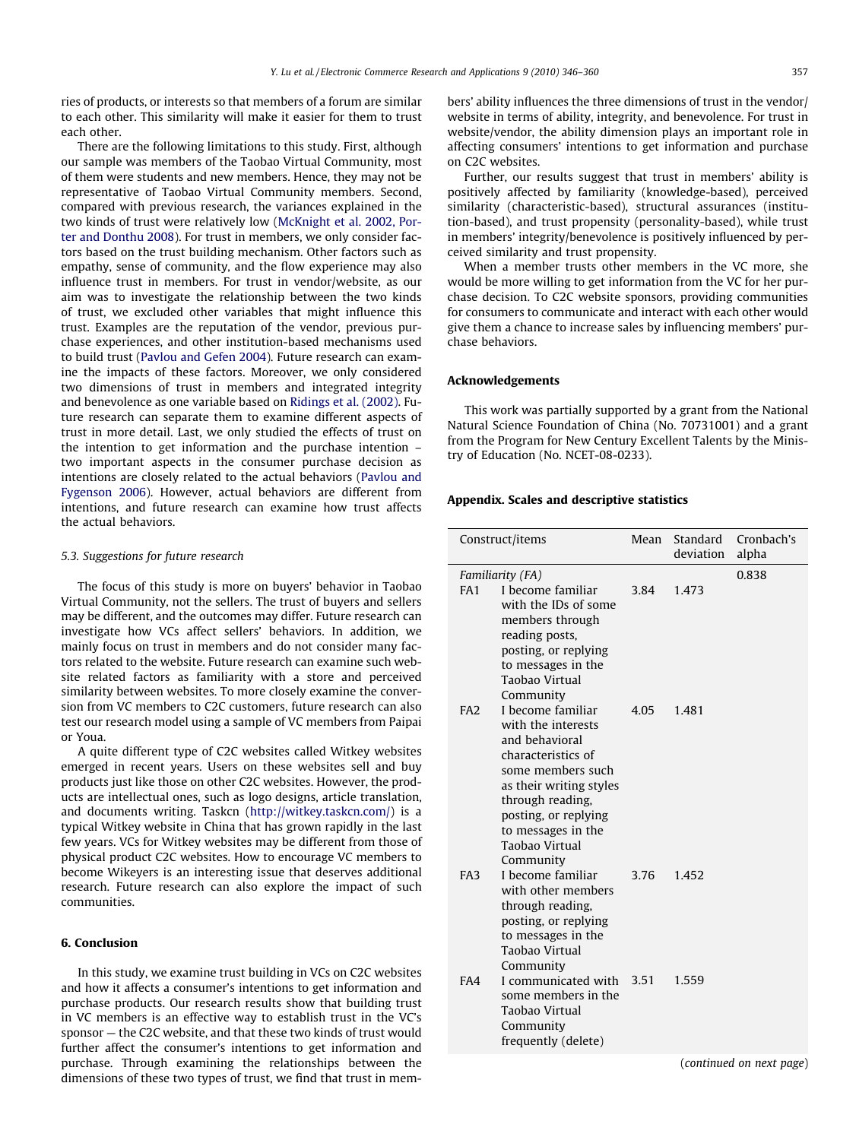<span id="page-11-0"></span>ries of products, or interests so that members of a forum are similar to each other. This similarity will make it easier for them to trust each other.

There are the following limitations to this study. First, although our sample was members of the Taobao Virtual Community, most of them were students and new members. Hence, they may not be representative of Taobao Virtual Community members. Second, compared with previous research, the variances explained in the two kinds of trust were relatively low [\(McKnight et al. 2002, Por](#page-14-0)[ter and Donthu 2008](#page-14-0)). For trust in members, we only consider factors based on the trust building mechanism. Other factors such as empathy, sense of community, and the flow experience may also influence trust in members. For trust in vendor/website, as our aim was to investigate the relationship between the two kinds of trust, we excluded other variables that might influence this trust. Examples are the reputation of the vendor, previous purchase experiences, and other institution-based mechanisms used to build trust [\(Pavlou and Gefen 2004](#page-14-0)). Future research can examine the impacts of these factors. Moreover, we only considered two dimensions of trust in members and integrated integrity and benevolence as one variable based on [Ridings et al. \(2002\)](#page-14-0). Future research can separate them to examine different aspects of trust in more detail. Last, we only studied the effects of trust on the intention to get information and the purchase intention – two important aspects in the consumer purchase decision as intentions are closely related to the actual behaviors [\(Pavlou and](#page-14-0) [Fygenson 2006\)](#page-14-0). However, actual behaviors are different from intentions, and future research can examine how trust affects the actual behaviors.

# 5.3. Suggestions for future research

The focus of this study is more on buyers' behavior in Taobao Virtual Community, not the sellers. The trust of buyers and sellers may be different, and the outcomes may differ. Future research can investigate how VCs affect sellers' behaviors. In addition, we mainly focus on trust in members and do not consider many factors related to the website. Future research can examine such website related factors as familiarity with a store and perceived similarity between websites. To more closely examine the conversion from VC members to C2C customers, future research can also test our research model using a sample of VC members from Paipai or Youa.

A quite different type of C2C websites called Witkey websites emerged in recent years. Users on these websites sell and buy products just like those on other C2C websites. However, the products are intellectual ones, such as logo designs, article translation, and documents writing. Taskcn [\(http://witkey.taskcn.com/\)](http://witkey.taskcn.com/) is a typical Witkey website in China that has grown rapidly in the last few years. VCs for Witkey websites may be different from those of physical product C2C websites. How to encourage VC members to become Wikeyers is an interesting issue that deserves additional research. Future research can also explore the impact of such communities.

## 6. Conclusion

In this study, we examine trust building in VCs on C2C websites and how it affects a consumer's intentions to get information and purchase products. Our research results show that building trust in VC members is an effective way to establish trust in the VC's sponsor — the C2C website, and that these two kinds of trust would further affect the consumer's intentions to get information and purchase. Through examining the relationships between the dimensions of these two types of trust, we find that trust in members' ability influences the three dimensions of trust in the vendor/ website in terms of ability, integrity, and benevolence. For trust in website/vendor, the ability dimension plays an important role in affecting consumers' intentions to get information and purchase on C2C websites.

Further, our results suggest that trust in members' ability is positively affected by familiarity (knowledge-based), perceived similarity (characteristic-based), structural assurances (institution-based), and trust propensity (personality-based), while trust in members' integrity/benevolence is positively influenced by perceived similarity and trust propensity.

When a member trusts other members in the VC more, she would be more willing to get information from the VC for her purchase decision. To C2C website sponsors, providing communities for consumers to communicate and interact with each other would give them a chance to increase sales by influencing members' purchase behaviors.

# Acknowledgements

This work was partially supported by a grant from the National Natural Science Foundation of China (No. 70731001) and a grant from the Program for New Century Excellent Talents by the Ministry of Education (No. NCET-08-0233).

# Appendix. Scales and descriptive statistics

|                 | Construct/items                                                                                                                                                                                                                                      | Mean | Standard<br>deviation | Cronbach's<br>alpha |
|-----------------|------------------------------------------------------------------------------------------------------------------------------------------------------------------------------------------------------------------------------------------------------|------|-----------------------|---------------------|
| FA <sub>1</sub> | Familiarity (FA)<br>I become familiar<br>with the IDs of some<br>members through<br>reading posts,<br>posting, or replying<br>to messages in the<br>Taobao Virtual                                                                                   | 3.84 | 1.473                 | 0.838               |
| FA <sub>2</sub> | Community<br>I become familiar<br>with the interests<br>and behavioral<br>characteristics of<br>some members such<br>as their writing styles<br>through reading,<br>posting, or replying<br>to messages in the<br><b>Taobao Virtual</b><br>Community | 4.05 | 1.481                 |                     |
| FA3             | I become familiar<br>with other members<br>through reading,<br>posting, or replying<br>to messages in the<br>Taobao Virtual<br>Community                                                                                                             | 3.76 | 1.452                 |                     |
| FA4             | I communicated with 3.51<br>some members in the<br>Taobao Virtual<br>Community<br>frequently (delete)                                                                                                                                                |      | 1.559                 |                     |

(continued on next page)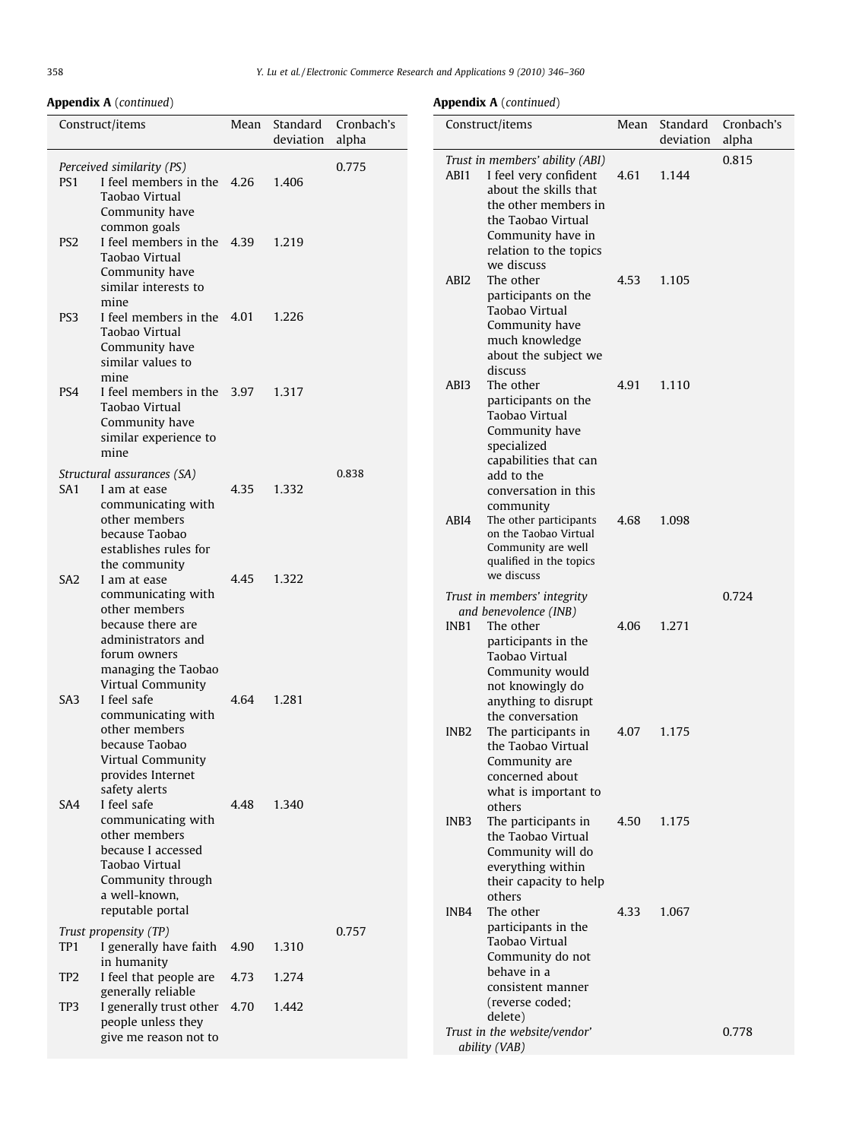# Appendix A (continued)

# Appendix A (continued)

| Construct/items |                 | Mean                                                                                                                                                       | Standard<br>deviation | Cronbach's<br>alpha | Cor   |                                     |
|-----------------|-----------------|------------------------------------------------------------------------------------------------------------------------------------------------------------|-----------------------|---------------------|-------|-------------------------------------|
|                 | PS1             | Perceived similarity (PS)<br>I feel members in the 4.26<br>Taobao Virtual<br>Community have                                                                |                       | 1.406               | 0.775 | Tru.<br>ABI                         |
|                 | PS <sub>2</sub> | common goals<br>I feel members in the 4.39 1.219<br>Taobao Virtual<br>Community have<br>similar interests to<br>mine                                       |                       |                     |       | ABI                                 |
|                 | PS <sub>3</sub> | I feel members in the 4.01<br>Taobao Virtual<br>Community have<br>similar values to<br>mine                                                                |                       | 1.226               |       |                                     |
|                 | PS4             | I feel members in the 3.97<br>Taobao Virtual<br>Community have<br>similar experience to<br>mine                                                            |                       | 1.317               | 0.838 | ABI                                 |
|                 | SA1             | Structural assurances (SA)<br>I am at ease<br>communicating with<br>other members<br>because Taobao<br>establishes rules for<br>the community              | 4.35                  | 1.332               |       | ABI                                 |
|                 | SA <sub>2</sub> | I am at ease<br>communicating with<br>other members<br>because there are<br>administrators and<br>forum owners<br>managing the Taobao<br>Virtual Community | 4.45                  | 1.322               |       | Tru.<br>$\mathfrak a$<br><b>INB</b> |
|                 | SA3             | I feel safe<br>communicating with<br>other members<br>because Taobao<br>Virtual Community<br>provides Internet<br>safety alerts                            | 4.64                  | 1.281               |       | <b>INB</b>                          |
|                 | SA4             | I feel safe<br>communicating with<br>other members<br>because I accessed<br>Taobao Virtual<br>Community through<br>a well-known.<br>reputable portal       | 4.48                  | 1.340               |       | <b>INB</b><br><b>INB</b>            |
|                 | TP1             | Trust propensity (TP)<br>I generally have faith<br>in humanity                                                                                             | 4.90                  | 1.310               | 0.757 |                                     |
|                 | TP <sub>2</sub> | I feel that people are<br>generally reliable                                                                                                               | 4.73                  | 1.274               |       |                                     |
|                 | TP3             | I generally trust other<br>people unless they<br>give me reason not to                                                                                     | 4.70                  | 1.442               |       | Tru.<br>$\mathfrak a$               |
|                 |                 |                                                                                                                                                            |                       |                     |       |                                     |

|                  | Construct/items                                                                                                                                                                              | Mean | Standard<br>deviation | Cronbach's<br>alpha |
|------------------|----------------------------------------------------------------------------------------------------------------------------------------------------------------------------------------------|------|-----------------------|---------------------|
| ABI1             | Trust in members' ability (ABI)<br>I feel very confident<br>about the skills that<br>the other members in<br>the Taobao Virtual<br>Community have in<br>relation to the topics<br>we discuss | 4.61 | 1.144                 | 0.815               |
| ABI <sub>2</sub> | The other<br>participants on the<br>Taobao Virtual<br>Community have<br>much knowledge<br>about the subject we<br>discuss                                                                    | 4.53 | 1.105                 |                     |
| ABI3             | The other<br>participants on the<br>Taobao Virtual<br>Community have<br>specialized<br>capabilities that can<br>add to the<br>conversation in this                                           | 4.91 | 1.110                 |                     |
| ABI4             | community<br>The other participants<br>on the Taobao Virtual<br>Community are well<br>qualified in the topics<br>we discuss                                                                  | 4.68 | 1.098                 |                     |
| INB <sub>1</sub> | Trust in members' integrity<br>and benevolence (INB)<br>The other<br>participants in the<br>Taobao Virtual<br>Community would<br>not knowingly do<br>anything to disrupt                     | 4.06 | 1.271                 | 0.724               |
| INB <sub>2</sub> | the conversation<br>The participants in<br>the Taobao Virtual<br>Community are<br>concerned about<br>what is important to<br>others                                                          | 4.07 | 1.175                 |                     |
| INB <sub>3</sub> | The participants in<br>the Taobao Virtual<br>Community will do<br>everything within<br>their capacity to help<br>others                                                                      | 4.50 | 1.175                 |                     |
| INB4             | The other<br>participants in the<br>Taobao Virtual<br>Community do not<br>behave in a<br>consistent manner<br>(reverse coded;<br>delete)                                                     | 4.33 | 1.067                 |                     |
|                  | Trust in the website/vendor'<br>ability (VAB)                                                                                                                                                |      |                       | 0.778               |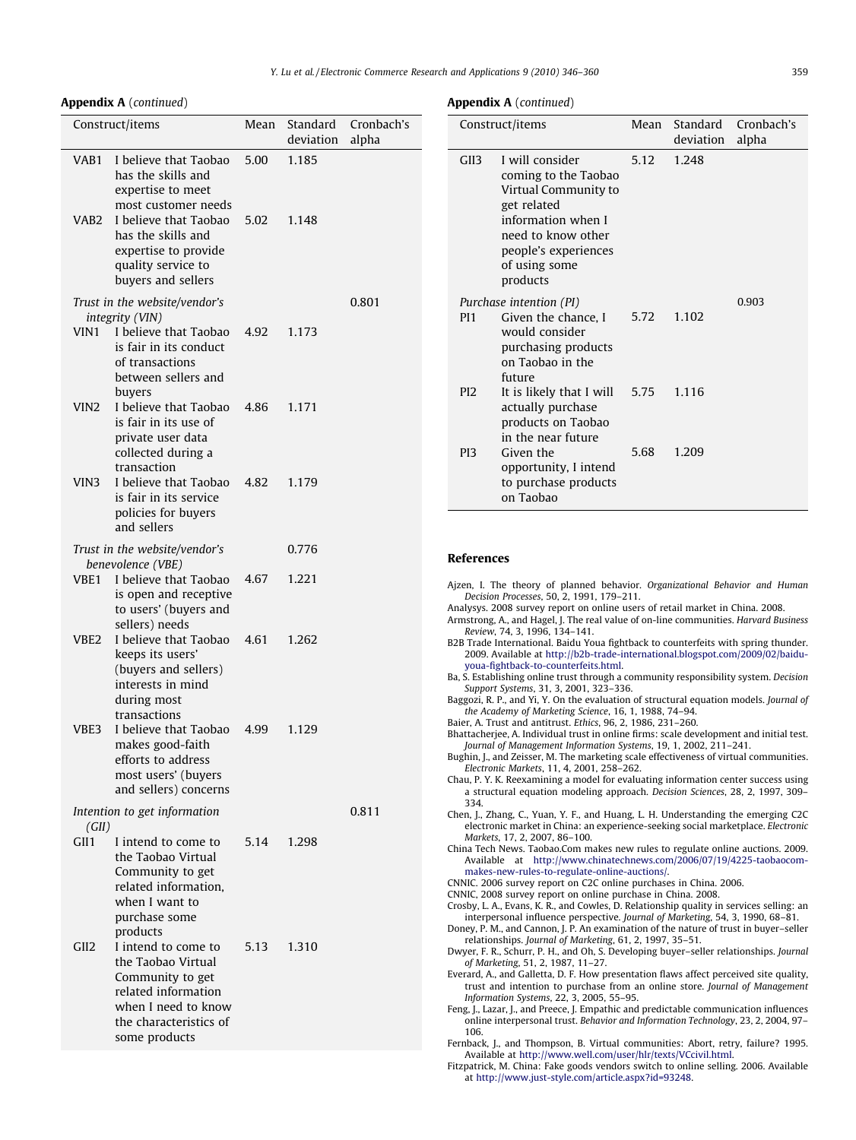# <span id="page-13-0"></span>Appendix A (continued)

|                  | Construct/items                                                                                                                                                                                            | Mean               | Standard<br>deviation | Cronbach's<br>alpha |  |  |
|------------------|------------------------------------------------------------------------------------------------------------------------------------------------------------------------------------------------------------|--------------------|-----------------------|---------------------|--|--|
| VAB1<br>VAB2     | I believe that Taobao<br>has the skills and<br>expertise to meet<br>most customer needs<br>I believe that Taobao<br>has the skills and<br>expertise to provide<br>quality service to<br>buyers and sellers | 5.00<br>5.02 1.148 | 1.185                 |                     |  |  |
|                  | Trust in the website/vendor's                                                                                                                                                                              |                    |                       | 0.801               |  |  |
| VIN1             | integrity (VIN)<br>I believe that Taobao<br>is fair in its conduct<br>of transactions<br>between sellers and<br>buyers                                                                                     | 4.92               | 1.173                 |                     |  |  |
| VIN2             | I believe that Taobao<br>is fair in its use of<br>private user data<br>collected during a<br>transaction                                                                                                   | 4.86               | 1.171                 |                     |  |  |
| VIN3             | I believe that Taobao<br>is fair in its service<br>policies for buyers<br>and sellers                                                                                                                      | 4.82 1.179         |                       |                     |  |  |
|                  | Trust in the website/vendor's                                                                                                                                                                              |                    | 0.776                 |                     |  |  |
| VBE1             | benevolence (VBE)<br>I believe that Taobao<br>is open and receptive<br>to users' (buyers and<br>sellers) needs                                                                                             | 4.67               | 1.221                 |                     |  |  |
| VBE2             | I believe that Taobao<br>keeps its users'<br>(buyers and sellers)<br>interests in mind<br>during most<br>transactions                                                                                      | 4.61               | 1.262                 |                     |  |  |
| VBE3             | I believe that Taobao<br>makes good-faith<br>efforts to address<br>most users' (buyers<br>and sellers) concerns                                                                                            | 4.99               | 1.129                 |                     |  |  |
| (GII)            | Intention to get information                                                                                                                                                                               |                    |                       | 0.811               |  |  |
| GII1             | I intend to come to<br>the Taobao Virtual<br>Community to get<br>related information,<br>when I want to<br>purchase some<br>products                                                                       | 5.14               | 1.298                 |                     |  |  |
| GII <sub>2</sub> | I intend to come to<br>the Taobao Virtual<br>Community to get<br>related information<br>when I need to know<br>the characteristics of<br>some products                                                     | 5.13               | 1.310                 |                     |  |  |

#### Appendix A (continued)

|                  | Construct/items                                                                                                                                                                 | Mean | Standard<br>deviation | Cronbach's<br>alpha |
|------------------|---------------------------------------------------------------------------------------------------------------------------------------------------------------------------------|------|-----------------------|---------------------|
| GII <sub>3</sub> | I will consider<br>coming to the Taobao<br>Virtual Community to<br>get related<br>information when I<br>need to know other<br>people's experiences<br>of using some<br>products | 5.12 | 1.248                 |                     |
| PI <sub>1</sub>  | Purchase intention (PI)<br>Given the chance. I<br>would consider<br>purchasing products<br>on Taobao in the<br>future                                                           | 5.72 | 1.102                 | 0.903               |
| P <sub>12</sub>  | It is likely that I will<br>actually purchase<br>products on Taobao<br>in the near future                                                                                       | 5.75 | 1.116                 |                     |
| P <sub>13</sub>  | Given the<br>opportunity, I intend<br>to purchase products<br>on Taobao                                                                                                         | 5.68 | 1.209                 |                     |

#### References

|  |  |  |                                           | Aizen, I. The theory of planned behavior. Organizational Behavior and Human  |  |  |
|--|--|--|-------------------------------------------|------------------------------------------------------------------------------|--|--|
|  |  |  | Decision Processes, 50, 2, 1991, 179–211. |                                                                              |  |  |
|  |  |  |                                           | Analysys, 2008 survey report on online users of retail market in China, 2008 |  |  |

- Analysys. 2008 survey report on online users of retail market in China. 2008. Armstrong, A., and Hagel, J. The real value of on-line communities. Harvard Business Review, 74, 3, 1996, 134–141.
- B2B Trade International. Baidu Youa fightback to counterfeits with spring thunder. 2009. Available at [http://b2b-trade-international.blogspot.com/2009/02/baidu](http://b2b-trade-international.blogspot.com/2009/02/baidu-youa-fightback-to-counterfeits.html)[youa-fightback-to-counterfeits.html](http://b2b-trade-international.blogspot.com/2009/02/baidu-youa-fightback-to-counterfeits.html).
- Ba, S. Establishing online trust through a community responsibility system. Decision Support Systems, 31, 3, 2001, 323–336.
- Baggozi, R. P., and Yi, Y. On the evaluation of structural equation models. Journal of the Academy of Marketing Science, 16, 1, 1988, 74–94.

Baier, A. Trust and antitrust. Ethics, 96, 2, 1986, 231–260.

Bhattacherjee, A. Individual trust in online firms: scale development and initial test. Journal of Management Information Systems, 19, 1, 2002, 211–241.

Bughin, J., and Zeisser, M. The marketing scale effectiveness of virtual communities. Electronic Markets, 11, 4, 2001, 258–262.

- Chau, P. Y. K. Reexamining a model for evaluating information center success using a structural equation modeling approach. Decision Sciences, 28, 2, 1997, 309– 334.
- Chen, J., Zhang, C., Yuan, Y. F., and Huang, L. H. Understanding the emerging C2C electronic market in China: an experience-seeking social marketplace. Electronic Markets, 17, 2, 2007, 86–100.
- China Tech News. Taobao.Com makes new rules to regulate online auctions. 2009. Available at [http://www.chinatechnews.com/2006/07/19/4225-taobaocom](http://www.chinatechnews.com/2006/07/19/4225-taobaocom-makes-new-rules-to-regulate-online-auctions/)[makes-new-rules-to-regulate-online-auctions/](http://www.chinatechnews.com/2006/07/19/4225-taobaocom-makes-new-rules-to-regulate-online-auctions/).
- CNNIC. 2006 survey report on C2C online purchases in China. 2006.
- CNNIC, 2008 survey report on online purchase in China. 2008.

Crosby, L. A., Evans, K. R., and Cowles, D. Relationship quality in services selling: an interpersonal influence perspective. Journal of Marketing, 54, 3, 1990, 68–81.

Doney, P. M., and Cannon, J. P. An examination of the nature of trust in buyer–seller relationships. Journal of Marketing, 61, 2, 1997, 35–51.

Dwyer, F. R., Schurr, P. H., and Oh, S. Developing buyer–seller relationships. Journal of Marketing, 51, 2, 1987, 11–27.

- Everard, A., and Galletta, D. F. How presentation flaws affect perceived site quality, trust and intention to purchase from an online store. Journal of Management Information Systems, 22, 3, 2005, 55–95.
- Feng, J., Lazar, J., and Preece, J. Empathic and predictable communication influences online interpersonal trust. Behavior and Information Technology, 23, 2, 2004, 97– 106.

Fernback, J., and Thompson, B. Virtual communities: Abort, retry, failure? 1995. Available at <http://www.well.com/user/hlr/texts/VCcivil.html>.

Fitzpatrick, M. China: Fake goods vendors switch to online selling. 2006. Available at <http://www.just-style.com/article.aspx?id=93248>.